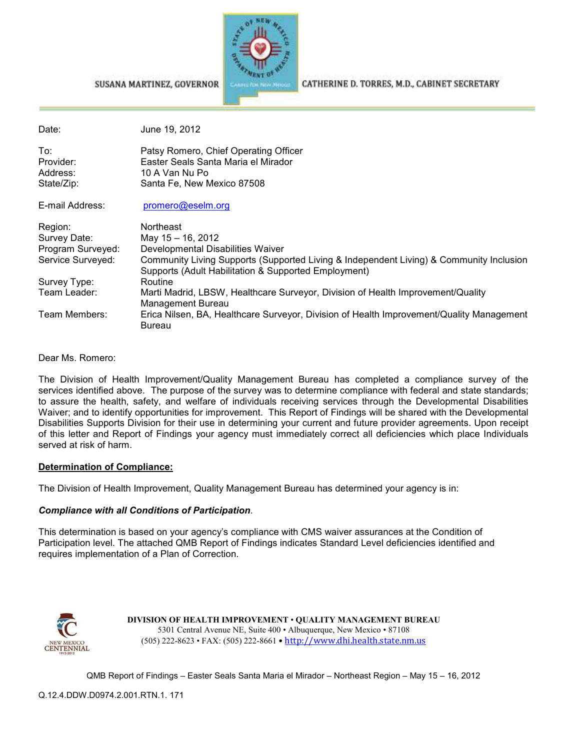

#### SUSANA MARTINEZ, GOVERNOR

CATHERINE D. TORRES, M.D., CABINET SECRETARY

| Date:             | June 19, 2012                                                                                                                                   |
|-------------------|-------------------------------------------------------------------------------------------------------------------------------------------------|
| To:               | Patsy Romero, Chief Operating Officer                                                                                                           |
| Provider:         | Easter Seals Santa Maria el Mirador                                                                                                             |
| Address:          | 10 A Van Nu Po                                                                                                                                  |
| State/Zip:        | Santa Fe, New Mexico 87508                                                                                                                      |
| E-mail Address:   | promero@eselm.org                                                                                                                               |
| Region:           | Northeast                                                                                                                                       |
| Survey Date:      | May 15 - 16, 2012                                                                                                                               |
| Program Surveyed: | Developmental Disabilities Waiver                                                                                                               |
| Service Surveyed: | Community Living Supports (Supported Living & Independent Living) & Community Inclusion<br>Supports (Adult Habilitation & Supported Employment) |
| Survey Type:      | Routine                                                                                                                                         |
| Team Leader:      | Marti Madrid, LBSW, Healthcare Surveyor, Division of Health Improvement/Quality<br>Management Bureau                                            |
| Team Members:     | Erica Nilsen, BA, Healthcare Surveyor, Division of Health Improvement/Quality Management<br>Bureau                                              |

Dear Ms. Romero:

The Division of Health Improvement/Quality Management Bureau has completed a compliance survey of the services identified above. The purpose of the survey was to determine compliance with federal and state standards; to assure the health, safety, and welfare of individuals receiving services through the Developmental Disabilities Waiver; and to identify opportunities for improvement. This Report of Findings will be shared with the Developmental Disabilities Supports Division for their use in determining your current and future provider agreements. Upon receipt of this letter and Report of Findings your agency must immediately correct all deficiencies which place Individuals served at risk of harm.

#### **Determination of Compliance:**

The Division of Health Improvement, Quality Management Bureau has determined your agency is in:

#### *Compliance with all Conditions of Participation*.

This determination is based on your agency's compliance with CMS waiver assurances at the Condition of Participation level. The attached QMB Report of Findings indicates Standard Level deficiencies identified and requires implementation of a Plan of Correction.



**DIVISION OF HEALTH IMPROVEMENT** • **QUALITY MANAGEMENT BUREAU** 5301 Central Avenue NE, Suite 400 • Albuquerque, New Mexico • 87108 (505) 222-8623 • FAX: (505) 222-8661 • http://www.dhi.health.state.nm.us

QMB Report of Findings – Easter Seals Santa Maria el Mirador – Northeast Region – May 15 – 16, 2012

Q.12.4.DDW.D0974.2.001.RTN.1. 171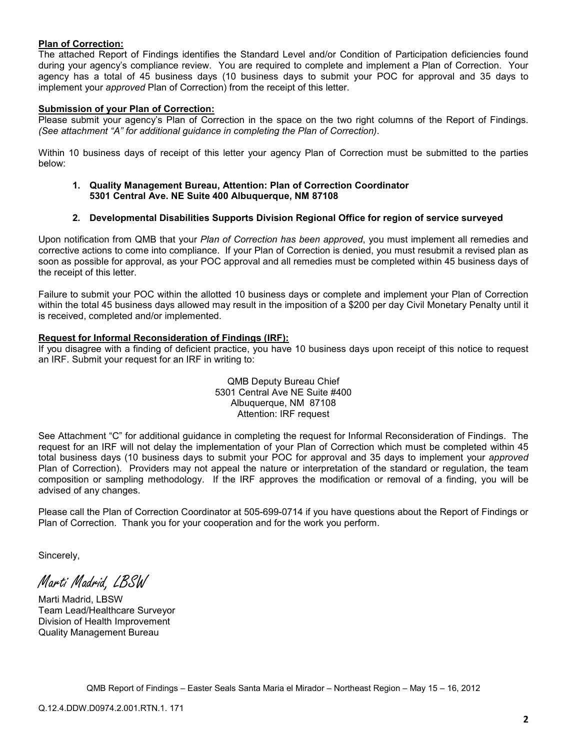#### **Plan of Correction:**

The attached Report of Findings identifies the Standard Level and/or Condition of Participation deficiencies found during your agency's compliance review. You are required to complete and implement a Plan of Correction. Your agency has a total of 45 business days (10 business days to submit your POC for approval and 35 days to implement your *approved* Plan of Correction) from the receipt of this letter.

### **Submission of your Plan of Correction:**

Please submit your agency's Plan of Correction in the space on the two right columns of the Report of Findings. *(See attachment "A" for additional guidance in completing the Plan of Correction)*.

Within 10 business days of receipt of this letter your agency Plan of Correction must be submitted to the parties below:

**1. Quality Management Bureau, Attention: Plan of Correction Coordinator 5301 Central Ave. NE Suite 400 Albuquerque, NM 87108** 

#### **2. Developmental Disabilities Supports Division Regional Office for region of service surveyed**

Upon notification from QMB that your *Plan of Correction has been approved*, you must implement all remedies and corrective actions to come into compliance. If your Plan of Correction is denied, you must resubmit a revised plan as soon as possible for approval, as your POC approval and all remedies must be completed within 45 business days of the receipt of this letter.

Failure to submit your POC within the allotted 10 business days or complete and implement your Plan of Correction within the total 45 business days allowed may result in the imposition of a \$200 per day Civil Monetary Penalty until it is received, completed and/or implemented.

#### **Request for Informal Reconsideration of Findings (IRF):**

If you disagree with a finding of deficient practice, you have 10 business days upon receipt of this notice to request an IRF. Submit your request for an IRF in writing to:

> QMB Deputy Bureau Chief 5301 Central Ave NE Suite #400 Albuquerque, NM 87108 Attention: IRF request

See Attachment "C" for additional guidance in completing the request for Informal Reconsideration of Findings. The request for an IRF will not delay the implementation of your Plan of Correction which must be completed within 45 total business days (10 business days to submit your POC for approval and 35 days to implement your *approved* Plan of Correction). Providers may not appeal the nature or interpretation of the standard or regulation, the team composition or sampling methodology. If the IRF approves the modification or removal of a finding, you will be advised of any changes.

Please call the Plan of Correction Coordinator at 505-699-0714 if you have questions about the Report of Findings or Plan of Correction. Thank you for your cooperation and for the work you perform.

Sincerely,

Marti Madrid, LBSW

Marti Madrid, LBSW Team Lead/Healthcare Surveyor Division of Health Improvement Quality Management Bureau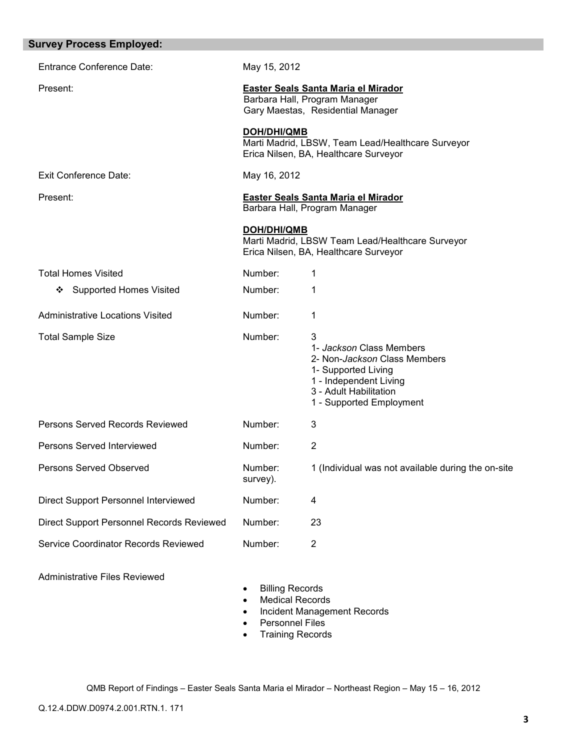| <b>Survey Process Employed:</b>           |                     |                                                                                                                                                                              |
|-------------------------------------------|---------------------|------------------------------------------------------------------------------------------------------------------------------------------------------------------------------|
| <b>Entrance Conference Date:</b>          | May 15, 2012        |                                                                                                                                                                              |
| Present:                                  |                     | Easter Seals Santa Maria el Mirador<br>Barbara Hall, Program Manager<br>Gary Maestas, Residential Manager                                                                    |
|                                           | <b>DOH/DHI/QMB</b>  | Marti Madrid, LBSW, Team Lead/Healthcare Surveyor<br>Erica Nilsen, BA, Healthcare Surveyor                                                                                   |
| Exit Conference Date:                     | May 16, 2012        |                                                                                                                                                                              |
| Present:                                  |                     | Easter Seals Santa Maria el Mirador<br>Barbara Hall, Program Manager                                                                                                         |
|                                           | DOH/DHI/QMB         | Marti Madrid, LBSW Team Lead/Healthcare Surveyor<br>Erica Nilsen, BA, Healthcare Surveyor                                                                                    |
| <b>Total Homes Visited</b>                | Number:             | 1                                                                                                                                                                            |
| <b>Supported Homes Visited</b><br>❖       | Number:             | 1                                                                                                                                                                            |
| <b>Administrative Locations Visited</b>   | Number:             | 1                                                                                                                                                                            |
| <b>Total Sample Size</b>                  | Number:             | 3<br>1- Jackson Class Members<br>2- Non- <i>Jackson</i> Class Members<br>1- Supported Living<br>1 - Independent Living<br>3 - Adult Habilitation<br>1 - Supported Employment |
| Persons Served Records Reviewed           | Number:             | 3                                                                                                                                                                            |
| Persons Served Interviewed                | Number:             | 2                                                                                                                                                                            |
| Persons Served Observed                   | Number:<br>survey). | 1 (Individual was not available during the on-site                                                                                                                           |
| Direct Support Personnel Interviewed      | Number:             | 4                                                                                                                                                                            |
| Direct Support Personnel Records Reviewed | Number:             | 23                                                                                                                                                                           |
| Service Coordinator Records Reviewed      | Number:             | $\overline{2}$                                                                                                                                                               |
|                                           |                     |                                                                                                                                                                              |

Administrative Files Reviewed

- Billing Records
- Medical Records
- Incident Management Records
- Personnel Files
- Training Records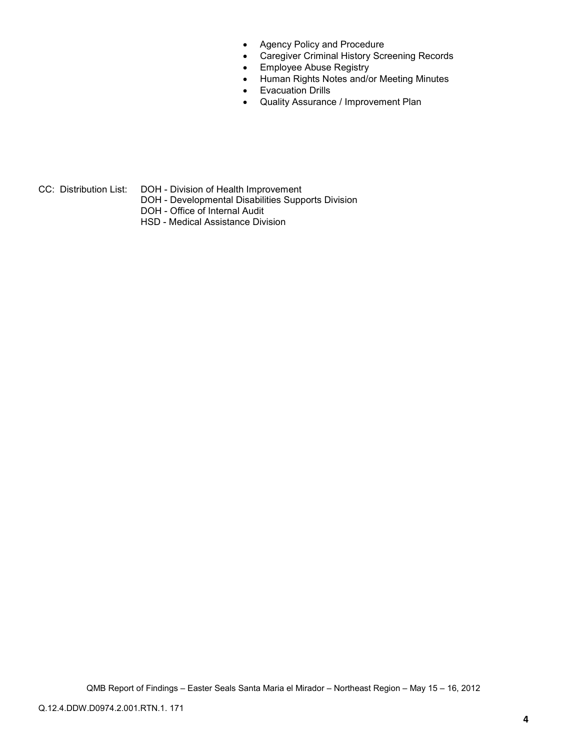- Agency Policy and Procedure
- Caregiver Criminal History Screening Records
- Employee Abuse Registry
- Human Rights Notes and/or Meeting Minutes
- Evacuation Drills
- Quality Assurance / Improvement Plan

- CC: Distribution List: DOH Division of Health Improvement
	- DOH Developmental Disabilities Supports Division
	- DOH Office of Internal Audit
	- HSD Medical Assistance Division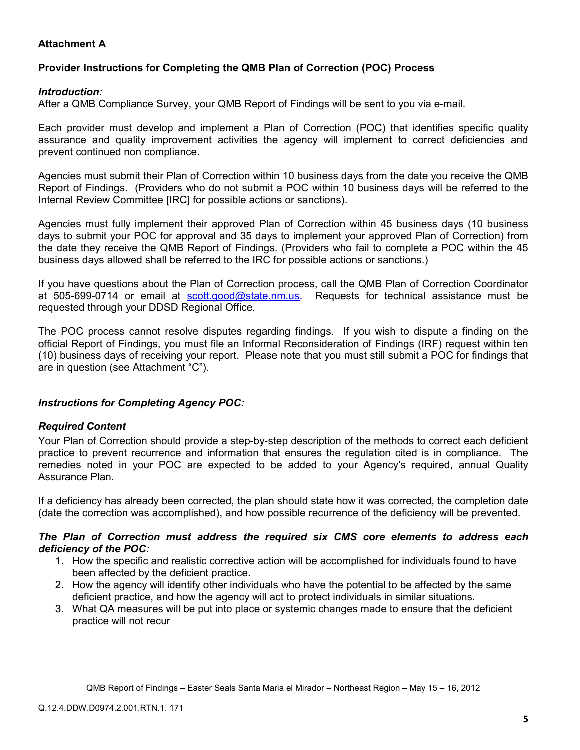## **Attachment A**

## **Provider Instructions for Completing the QMB Plan of Correction (POC) Process**

## *Introduction:*

After a QMB Compliance Survey, your QMB Report of Findings will be sent to you via e-mail.

Each provider must develop and implement a Plan of Correction (POC) that identifies specific quality assurance and quality improvement activities the agency will implement to correct deficiencies and prevent continued non compliance.

Agencies must submit their Plan of Correction within 10 business days from the date you receive the QMB Report of Findings. (Providers who do not submit a POC within 10 business days will be referred to the Internal Review Committee [IRC] for possible actions or sanctions).

Agencies must fully implement their approved Plan of Correction within 45 business days (10 business days to submit your POC for approval and 35 days to implement your approved Plan of Correction) from the date they receive the QMB Report of Findings. (Providers who fail to complete a POC within the 45 business days allowed shall be referred to the IRC for possible actions or sanctions.)

If you have questions about the Plan of Correction process, call the QMB Plan of Correction Coordinator at 505-699-0714 or email at scott.good@state.nm.us. Requests for technical assistance must be requested through your DDSD Regional Office.

The POC process cannot resolve disputes regarding findings. If you wish to dispute a finding on the official Report of Findings, you must file an Informal Reconsideration of Findings (IRF) request within ten (10) business days of receiving your report. Please note that you must still submit a POC for findings that are in question (see Attachment "C").

## *Instructions for Completing Agency POC:*

## *Required Content*

Your Plan of Correction should provide a step-by-step description of the methods to correct each deficient practice to prevent recurrence and information that ensures the regulation cited is in compliance. The remedies noted in your POC are expected to be added to your Agency's required, annual Quality Assurance Plan.

If a deficiency has already been corrected, the plan should state how it was corrected, the completion date (date the correction was accomplished), and how possible recurrence of the deficiency will be prevented.

### *The Plan of Correction must address the required six CMS core elements to address each deficiency of the POC:*

- 1. How the specific and realistic corrective action will be accomplished for individuals found to have been affected by the deficient practice.
- 2. How the agency will identify other individuals who have the potential to be affected by the same deficient practice, and how the agency will act to protect individuals in similar situations.
- 3. What QA measures will be put into place or systemic changes made to ensure that the deficient practice will not recur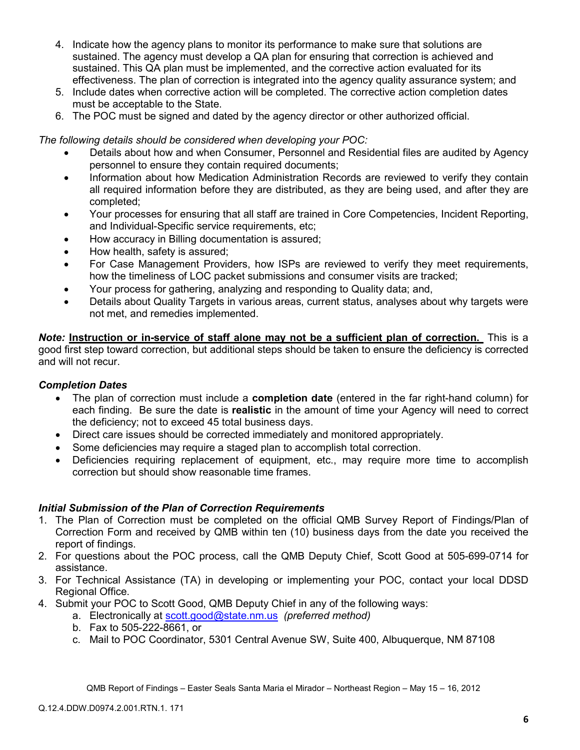- 4. Indicate how the agency plans to monitor its performance to make sure that solutions are sustained. The agency must develop a QA plan for ensuring that correction is achieved and sustained. This QA plan must be implemented, and the corrective action evaluated for its effectiveness. The plan of correction is integrated into the agency quality assurance system; and
- 5. Include dates when corrective action will be completed. The corrective action completion dates must be acceptable to the State.
- 6. The POC must be signed and dated by the agency director or other authorized official.

*The following details should be considered when developing your POC:* 

- Details about how and when Consumer, Personnel and Residential files are audited by Agency personnel to ensure they contain required documents;
- Information about how Medication Administration Records are reviewed to verify they contain all required information before they are distributed, as they are being used, and after they are completed;
- Your processes for ensuring that all staff are trained in Core Competencies, Incident Reporting, and Individual-Specific service requirements, etc;
- How accuracy in Billing documentation is assured;
- How health, safety is assured;
- For Case Management Providers, how ISPs are reviewed to verify they meet requirements, how the timeliness of LOC packet submissions and consumer visits are tracked;
- Your process for gathering, analyzing and responding to Quality data; and,
- Details about Quality Targets in various areas, current status, analyses about why targets were not met, and remedies implemented.

*Note:* **Instruction or in-service of staff alone may not be a sufficient plan of correction.** This is a good first step toward correction, but additional steps should be taken to ensure the deficiency is corrected and will not recur.

## *Completion Dates*

- The plan of correction must include a **completion date** (entered in the far right-hand column) for each finding. Be sure the date is **realistic** in the amount of time your Agency will need to correct the deficiency; not to exceed 45 total business days.
- Direct care issues should be corrected immediately and monitored appropriately.
- Some deficiencies may require a staged plan to accomplish total correction.
- Deficiencies requiring replacement of equipment, etc., may require more time to accomplish correction but should show reasonable time frames.

## *Initial Submission of the Plan of Correction Requirements*

- 1. The Plan of Correction must be completed on the official QMB Survey Report of Findings/Plan of Correction Form and received by QMB within ten (10) business days from the date you received the report of findings.
- 2. For questions about the POC process, call the QMB Deputy Chief, Scott Good at 505-699-0714 for assistance.
- 3. For Technical Assistance (TA) in developing or implementing your POC, contact your local DDSD Regional Office.
- 4. Submit your POC to Scott Good, QMB Deputy Chief in any of the following ways:
	- a. Electronically at scott.good@state.nm.us *(preferred method)*
	- b. Fax to 505-222-8661, or
	- c. Mail to POC Coordinator, 5301 Central Avenue SW, Suite 400, Albuquerque, NM 87108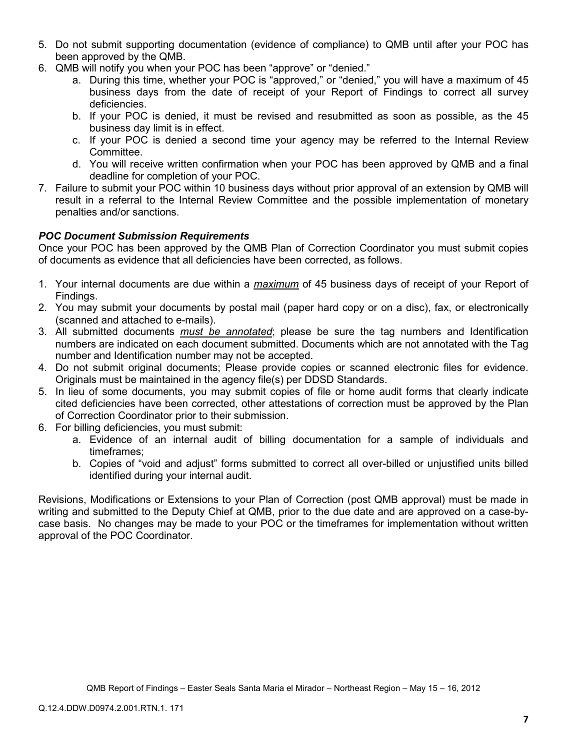- 5. Do not submit supporting documentation (evidence of compliance) to QMB until after your POC has been approved by the QMB.
- 6. QMB will notify you when your POC has been "approve" or "denied."
	- a. During this time, whether your POC is "approved," or "denied," you will have a maximum of 45 business days from the date of receipt of your Report of Findings to correct all survey deficiencies.
	- b. If your POC is denied, it must be revised and resubmitted as soon as possible, as the 45 business day limit is in effect.
	- c. If your POC is denied a second time your agency may be referred to the Internal Review Committee.
	- d. You will receive written confirmation when your POC has been approved by QMB and a final deadline for completion of your POC.
- 7. Failure to submit your POC within 10 business days without prior approval of an extension by QMB will result in a referral to the Internal Review Committee and the possible implementation of monetary penalties and/or sanctions.

## *POC Document Submission Requirements*

Once your POC has been approved by the QMB Plan of Correction Coordinator you must submit copies of documents as evidence that all deficiencies have been corrected, as follows.

- 1. Your internal documents are due within a *maximum* of 45 business days of receipt of your Report of Findings.
- 2. You may submit your documents by postal mail (paper hard copy or on a disc), fax, or electronically (scanned and attached to e-mails).
- 3. All submitted documents *must be annotated*; please be sure the tag numbers and Identification numbers are indicated on each document submitted. Documents which are not annotated with the Tag number and Identification number may not be accepted.
- 4. Do not submit original documents; Please provide copies or scanned electronic files for evidence. Originals must be maintained in the agency file(s) per DDSD Standards.
- 5. In lieu of some documents, you may submit copies of file or home audit forms that clearly indicate cited deficiencies have been corrected, other attestations of correction must be approved by the Plan of Correction Coordinator prior to their submission.
- 6. For billing deficiencies, you must submit:
	- a. Evidence of an internal audit of billing documentation for a sample of individuals and timeframes;
	- b. Copies of "void and adjust" forms submitted to correct all over-billed or unjustified units billed identified during your internal audit.

Revisions, Modifications or Extensions to your Plan of Correction (post QMB approval) must be made in writing and submitted to the Deputy Chief at QMB, prior to the due date and are approved on a case-bycase basis. No changes may be made to your POC or the timeframes for implementation without written approval of the POC Coordinator.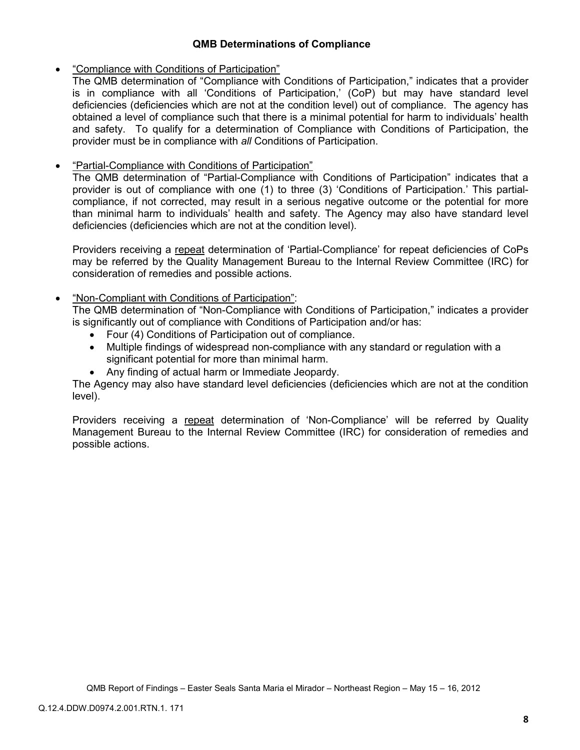## **QMB Determinations of Compliance**

## • "Compliance with Conditions of Participation"

The QMB determination of "Compliance with Conditions of Participation," indicates that a provider is in compliance with all 'Conditions of Participation,' (CoP) but may have standard level deficiencies (deficiencies which are not at the condition level) out of compliance. The agency has obtained a level of compliance such that there is a minimal potential for harm to individuals' health and safety. To qualify for a determination of Compliance with Conditions of Participation, the provider must be in compliance with *all* Conditions of Participation.

## • "Partial-Compliance with Conditions of Participation"

The QMB determination of "Partial-Compliance with Conditions of Participation" indicates that a provider is out of compliance with one (1) to three (3) 'Conditions of Participation.' This partialcompliance, if not corrected, may result in a serious negative outcome or the potential for more than minimal harm to individuals' health and safety. The Agency may also have standard level deficiencies (deficiencies which are not at the condition level).

Providers receiving a repeat determination of 'Partial-Compliance' for repeat deficiencies of CoPs may be referred by the Quality Management Bureau to the Internal Review Committee (IRC) for consideration of remedies and possible actions.

## • "Non-Compliant with Conditions of Participation":

The QMB determination of "Non-Compliance with Conditions of Participation," indicates a provider is significantly out of compliance with Conditions of Participation and/or has:

- Four (4) Conditions of Participation out of compliance.
- Multiple findings of widespread non-compliance with any standard or regulation with a significant potential for more than minimal harm.
- Any finding of actual harm or Immediate Jeopardy.

The Agency may also have standard level deficiencies (deficiencies which are not at the condition level).

Providers receiving a repeat determination of 'Non-Compliance' will be referred by Quality Management Bureau to the Internal Review Committee (IRC) for consideration of remedies and possible actions.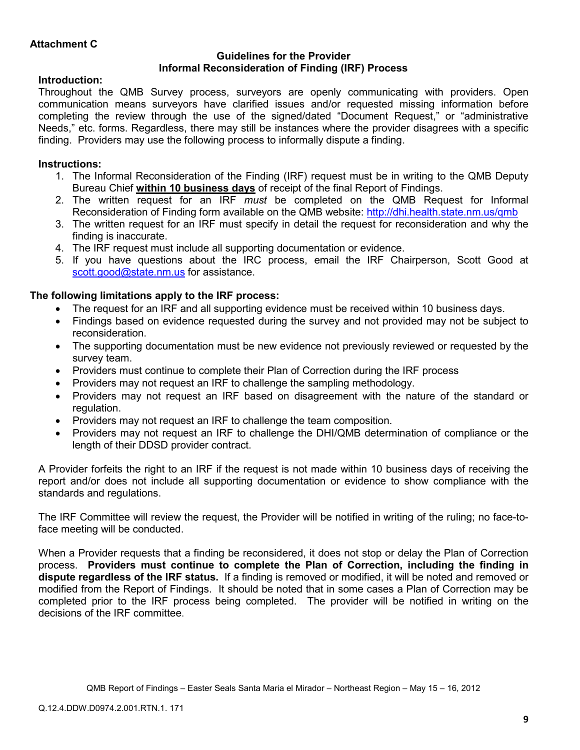## **Guidelines for the Provider Informal Reconsideration of Finding (IRF) Process**

## **Introduction:**

Throughout the QMB Survey process, surveyors are openly communicating with providers. Open communication means surveyors have clarified issues and/or requested missing information before completing the review through the use of the signed/dated "Document Request," or "administrative Needs," etc. forms. Regardless, there may still be instances where the provider disagrees with a specific finding. Providers may use the following process to informally dispute a finding.

# **Instructions:**

- 1. The Informal Reconsideration of the Finding (IRF) request must be in writing to the QMB Deputy Bureau Chief **within 10 business days** of receipt of the final Report of Findings.
- 2. The written request for an IRF *must* be completed on the QMB Request for Informal Reconsideration of Finding form available on the QMB website: http://dhi.health.state.nm.us/qmb
- 3. The written request for an IRF must specify in detail the request for reconsideration and why the finding is inaccurate.
- 4. The IRF request must include all supporting documentation or evidence.
- 5. If you have questions about the IRC process, email the IRF Chairperson, Scott Good at scott.good@state.nm.us for assistance.

## **The following limitations apply to the IRF process:**

- The request for an IRF and all supporting evidence must be received within 10 business days.
- Findings based on evidence requested during the survey and not provided may not be subject to reconsideration.
- The supporting documentation must be new evidence not previously reviewed or requested by the survey team.
- Providers must continue to complete their Plan of Correction during the IRF process
- Providers may not request an IRF to challenge the sampling methodology.
- Providers may not request an IRF based on disagreement with the nature of the standard or regulation.
- Providers may not request an IRF to challenge the team composition.
- Providers may not request an IRF to challenge the DHI/QMB determination of compliance or the length of their DDSD provider contract.

A Provider forfeits the right to an IRF if the request is not made within 10 business days of receiving the report and/or does not include all supporting documentation or evidence to show compliance with the standards and regulations.

The IRF Committee will review the request, the Provider will be notified in writing of the ruling; no face-toface meeting will be conducted.

When a Provider requests that a finding be reconsidered, it does not stop or delay the Plan of Correction process. **Providers must continue to complete the Plan of Correction, including the finding in dispute regardless of the IRF status.** If a finding is removed or modified, it will be noted and removed or modified from the Report of Findings. It should be noted that in some cases a Plan of Correction may be completed prior to the IRF process being completed. The provider will be notified in writing on the decisions of the IRF committee.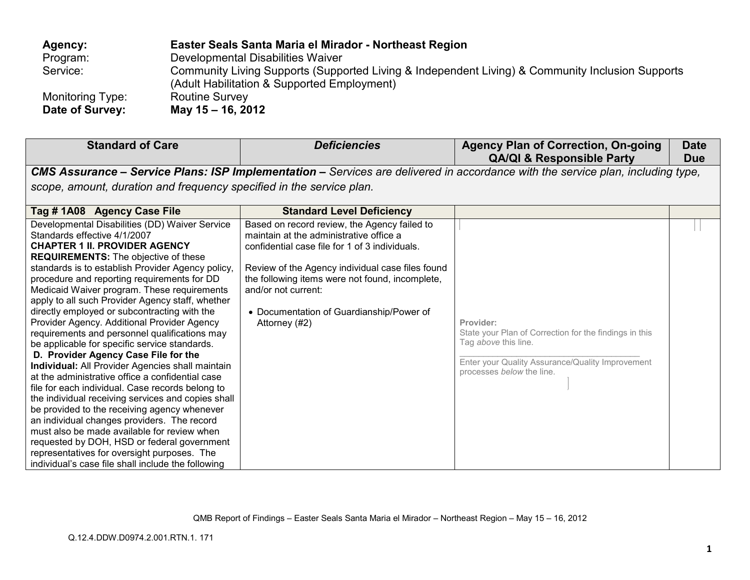| Agency:          | Easter Seals Santa Maria el Mirador - Northeast Region                                                                                          |
|------------------|-------------------------------------------------------------------------------------------------------------------------------------------------|
| Program:         | Developmental Disabilities Waiver                                                                                                               |
| Service:         | Community Living Supports (Supported Living & Independent Living) & Community Inclusion Supports<br>(Adult Habilitation & Supported Employment) |
| Monitoring Type: | <b>Routine Survey</b>                                                                                                                           |
| Date of Survey:  | May 15 - 16, 2012                                                                                                                               |

| <b>Standard of Care</b>                                                                                                                                                                                                                                                                                                                                                                                                                                                                                                                                                                                                                                                                                                                                                                                                                                                                                                                                                                                                                                                                                                                   | <b>Deficiencies</b>                                                                                                                                                                                                                                                                                                                  | <b>Agency Plan of Correction, On-going</b><br><b>QA/QI &amp; Responsible Party</b>                                                                                           | <b>Date</b><br><b>Due</b> |
|-------------------------------------------------------------------------------------------------------------------------------------------------------------------------------------------------------------------------------------------------------------------------------------------------------------------------------------------------------------------------------------------------------------------------------------------------------------------------------------------------------------------------------------------------------------------------------------------------------------------------------------------------------------------------------------------------------------------------------------------------------------------------------------------------------------------------------------------------------------------------------------------------------------------------------------------------------------------------------------------------------------------------------------------------------------------------------------------------------------------------------------------|--------------------------------------------------------------------------------------------------------------------------------------------------------------------------------------------------------------------------------------------------------------------------------------------------------------------------------------|------------------------------------------------------------------------------------------------------------------------------------------------------------------------------|---------------------------|
|                                                                                                                                                                                                                                                                                                                                                                                                                                                                                                                                                                                                                                                                                                                                                                                                                                                                                                                                                                                                                                                                                                                                           |                                                                                                                                                                                                                                                                                                                                      | CMS Assurance - Service Plans: ISP Implementation - Services are delivered in accordance with the service plan, including type,                                              |                           |
| scope, amount, duration and frequency specified in the service plan.                                                                                                                                                                                                                                                                                                                                                                                                                                                                                                                                                                                                                                                                                                                                                                                                                                                                                                                                                                                                                                                                      |                                                                                                                                                                                                                                                                                                                                      |                                                                                                                                                                              |                           |
| Tag #1A08 Agency Case File                                                                                                                                                                                                                                                                                                                                                                                                                                                                                                                                                                                                                                                                                                                                                                                                                                                                                                                                                                                                                                                                                                                | <b>Standard Level Deficiency</b>                                                                                                                                                                                                                                                                                                     |                                                                                                                                                                              |                           |
| Developmental Disabilities (DD) Waiver Service<br>Standards effective 4/1/2007<br><b>CHAPTER 1 II. PROVIDER AGENCY</b><br><b>REQUIREMENTS:</b> The objective of these<br>standards is to establish Provider Agency policy,<br>procedure and reporting requirements for DD<br>Medicaid Waiver program. These requirements<br>apply to all such Provider Agency staff, whether<br>directly employed or subcontracting with the<br>Provider Agency. Additional Provider Agency<br>requirements and personnel qualifications may<br>be applicable for specific service standards.<br>D. Provider Agency Case File for the<br>Individual: All Provider Agencies shall maintain<br>at the administrative office a confidential case<br>file for each individual. Case records belong to<br>the individual receiving services and copies shall<br>be provided to the receiving agency whenever<br>an individual changes providers. The record<br>must also be made available for review when<br>requested by DOH, HSD or federal government<br>representatives for oversight purposes. The<br>individual's case file shall include the following | Based on record review, the Agency failed to<br>maintain at the administrative office a<br>confidential case file for 1 of 3 individuals.<br>Review of the Agency individual case files found<br>the following items were not found, incomplete,<br>and/or not current:<br>• Documentation of Guardianship/Power of<br>Attorney (#2) | Provider:<br>State your Plan of Correction for the findings in this<br>Tag above this line.<br>Enter your Quality Assurance/Quality Improvement<br>processes below the line. |                           |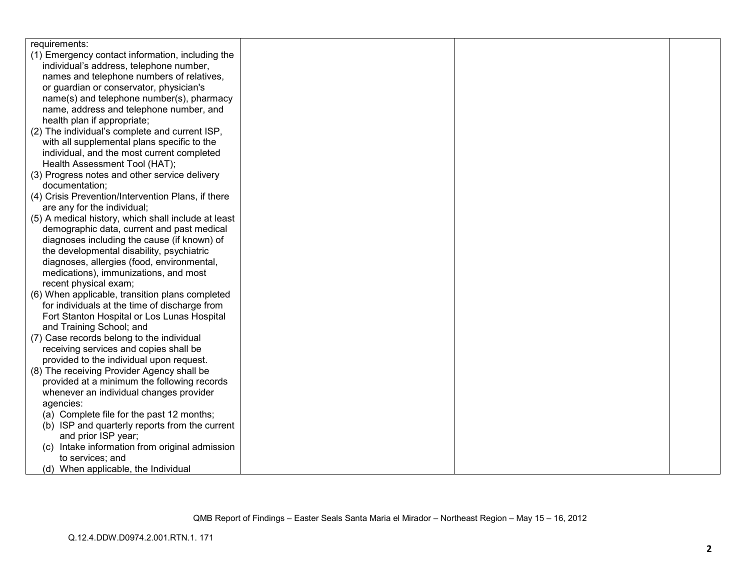| requirements:                                       |  |  |
|-----------------------------------------------------|--|--|
| (1) Emergency contact information, including the    |  |  |
| individual's address, telephone number,             |  |  |
| names and telephone numbers of relatives,           |  |  |
| or guardian or conservator, physician's             |  |  |
| name(s) and telephone number(s), pharmacy           |  |  |
| name, address and telephone number, and             |  |  |
| health plan if appropriate;                         |  |  |
| (2) The individual's complete and current ISP,      |  |  |
| with all supplemental plans specific to the         |  |  |
| individual, and the most current completed          |  |  |
| Health Assessment Tool (HAT);                       |  |  |
| (3) Progress notes and other service delivery       |  |  |
| documentation;                                      |  |  |
| (4) Crisis Prevention/Intervention Plans, if there  |  |  |
| are any for the individual;                         |  |  |
| (5) A medical history, which shall include at least |  |  |
| demographic data, current and past medical          |  |  |
| diagnoses including the cause (if known) of         |  |  |
| the developmental disability, psychiatric           |  |  |
| diagnoses, allergies (food, environmental,          |  |  |
| medications), immunizations, and most               |  |  |
| recent physical exam;                               |  |  |
| (6) When applicable, transition plans completed     |  |  |
| for individuals at the time of discharge from       |  |  |
| Fort Stanton Hospital or Los Lunas Hospital         |  |  |
| and Training School; and                            |  |  |
| (7) Case records belong to the individual           |  |  |
| receiving services and copies shall be              |  |  |
| provided to the individual upon request.            |  |  |
| (8) The receiving Provider Agency shall be          |  |  |
| provided at a minimum the following records         |  |  |
| whenever an individual changes provider             |  |  |
| agencies:                                           |  |  |
| (a) Complete file for the past 12 months;           |  |  |
| (b) ISP and quarterly reports from the current      |  |  |
| and prior ISP year;                                 |  |  |
| (c) Intake information from original admission      |  |  |
| to services; and                                    |  |  |
| (d) When applicable, the Individual                 |  |  |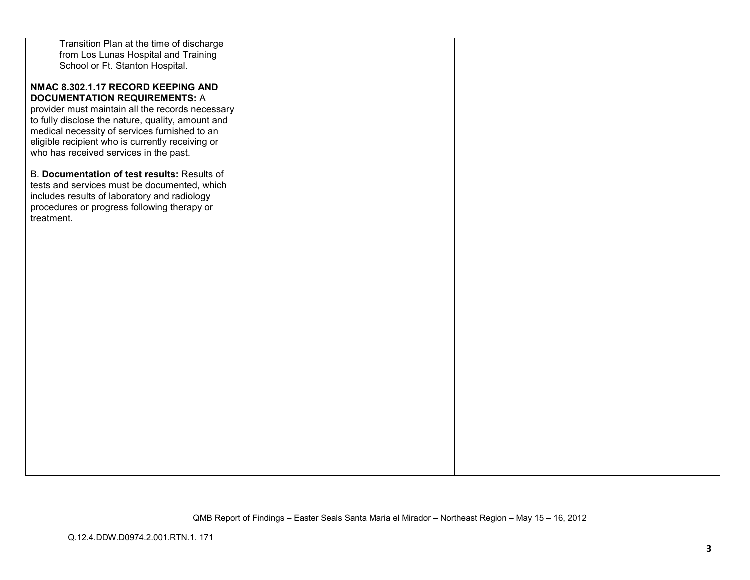| Transition Plan at the time of discharge          |  |  |
|---------------------------------------------------|--|--|
| from Los Lunas Hospital and Training              |  |  |
| School or Ft. Stanton Hospital.                   |  |  |
|                                                   |  |  |
| NMAC 8.302.1.17 RECORD KEEPING AND                |  |  |
| <b>DOCUMENTATION REQUIREMENTS: A</b>              |  |  |
| provider must maintain all the records necessary  |  |  |
| to fully disclose the nature, quality, amount and |  |  |
| medical necessity of services furnished to an     |  |  |
| eligible recipient who is currently receiving or  |  |  |
| who has received services in the past.            |  |  |
|                                                   |  |  |
| B. Documentation of test results: Results of      |  |  |
| tests and services must be documented, which      |  |  |
| includes results of laboratory and radiology      |  |  |
| procedures or progress following therapy or       |  |  |
| treatment.                                        |  |  |
|                                                   |  |  |
|                                                   |  |  |
|                                                   |  |  |
|                                                   |  |  |
|                                                   |  |  |
|                                                   |  |  |
|                                                   |  |  |
|                                                   |  |  |
|                                                   |  |  |
|                                                   |  |  |
|                                                   |  |  |
|                                                   |  |  |
|                                                   |  |  |
|                                                   |  |  |
|                                                   |  |  |
|                                                   |  |  |
|                                                   |  |  |
|                                                   |  |  |
|                                                   |  |  |
|                                                   |  |  |
|                                                   |  |  |
|                                                   |  |  |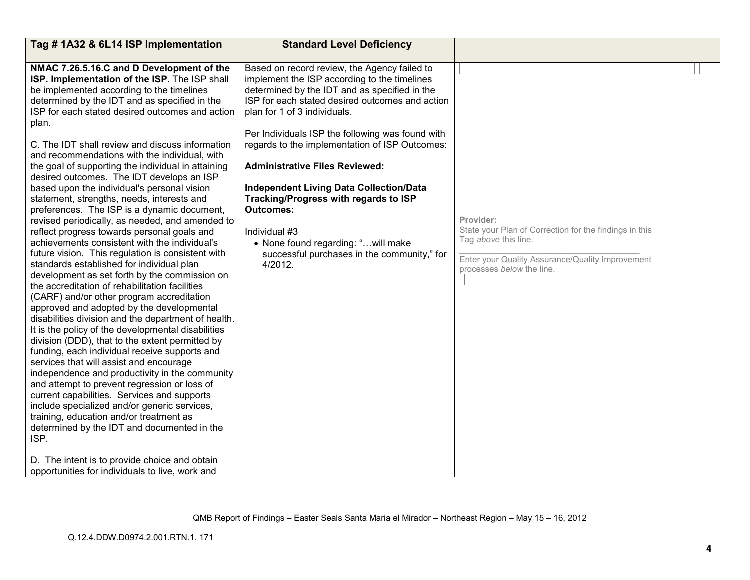| Tag #1A32 & 6L14 ISP Implementation                                                                                                                                                                                                                                                                                                                                                                                                                                                                                                                                                                                                                                                                                                                                                                                                                                                                                                                                                                                                                                                                                                                                                                                                                                                                                                                                                                                     | <b>Standard Level Deficiency</b>                                                                                                                                                                                                                                                                                                                                                                                                                                                                                                                                                                                 |                                                                                                                                                                                     |  |
|-------------------------------------------------------------------------------------------------------------------------------------------------------------------------------------------------------------------------------------------------------------------------------------------------------------------------------------------------------------------------------------------------------------------------------------------------------------------------------------------------------------------------------------------------------------------------------------------------------------------------------------------------------------------------------------------------------------------------------------------------------------------------------------------------------------------------------------------------------------------------------------------------------------------------------------------------------------------------------------------------------------------------------------------------------------------------------------------------------------------------------------------------------------------------------------------------------------------------------------------------------------------------------------------------------------------------------------------------------------------------------------------------------------------------|------------------------------------------------------------------------------------------------------------------------------------------------------------------------------------------------------------------------------------------------------------------------------------------------------------------------------------------------------------------------------------------------------------------------------------------------------------------------------------------------------------------------------------------------------------------------------------------------------------------|-------------------------------------------------------------------------------------------------------------------------------------------------------------------------------------|--|
| NMAC 7.26.5.16.C and D Development of the<br>ISP. Implementation of the ISP. The ISP shall<br>be implemented according to the timelines<br>determined by the IDT and as specified in the<br>ISP for each stated desired outcomes and action<br>plan.<br>C. The IDT shall review and discuss information<br>and recommendations with the individual, with<br>the goal of supporting the individual in attaining<br>desired outcomes. The IDT develops an ISP<br>based upon the individual's personal vision<br>statement, strengths, needs, interests and<br>preferences. The ISP is a dynamic document,<br>revised periodically, as needed, and amended to<br>reflect progress towards personal goals and<br>achievements consistent with the individual's<br>future vision. This regulation is consistent with<br>standards established for individual plan<br>development as set forth by the commission on<br>the accreditation of rehabilitation facilities<br>(CARF) and/or other program accreditation<br>approved and adopted by the developmental<br>disabilities division and the department of health.<br>It is the policy of the developmental disabilities<br>division (DDD), that to the extent permitted by<br>funding, each individual receive supports and<br>services that will assist and encourage<br>independence and productivity in the community<br>and attempt to prevent regression or loss of | Based on record review, the Agency failed to<br>implement the ISP according to the timelines<br>determined by the IDT and as specified in the<br>ISP for each stated desired outcomes and action<br>plan for 1 of 3 individuals.<br>Per Individuals ISP the following was found with<br>regards to the implementation of ISP Outcomes:<br><b>Administrative Files Reviewed:</b><br><b>Independent Living Data Collection/Data</b><br>Tracking/Progress with regards to ISP<br><b>Outcomes:</b><br>Individual #3<br>• None found regarding: " will make<br>successful purchases in the community," for<br>4/2012. | Provider:<br>State your Plan of Correction for the findings in this<br>Tag above this line.<br>Enter your Quality Assurance/Quality Improvement<br>processes <i>below</i> the line. |  |
| current capabilities. Services and supports                                                                                                                                                                                                                                                                                                                                                                                                                                                                                                                                                                                                                                                                                                                                                                                                                                                                                                                                                                                                                                                                                                                                                                                                                                                                                                                                                                             |                                                                                                                                                                                                                                                                                                                                                                                                                                                                                                                                                                                                                  |                                                                                                                                                                                     |  |
| include specialized and/or generic services,<br>training, education and/or treatment as<br>determined by the IDT and documented in the<br>ISP.<br>D. The intent is to provide choice and obtain<br>opportunities for individuals to live, work and                                                                                                                                                                                                                                                                                                                                                                                                                                                                                                                                                                                                                                                                                                                                                                                                                                                                                                                                                                                                                                                                                                                                                                      |                                                                                                                                                                                                                                                                                                                                                                                                                                                                                                                                                                                                                  |                                                                                                                                                                                     |  |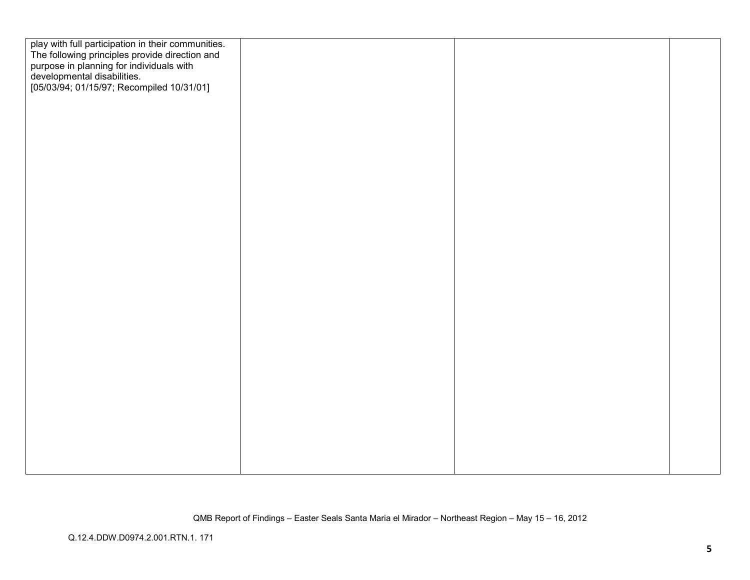| play with full participation in their communities.<br>The following principles provide direction and<br>purpose in planning for individuals with<br>developmental disabilities.<br>[05/03/94; 01/15/97; Recompiled 10/31/01] |  |  |
|------------------------------------------------------------------------------------------------------------------------------------------------------------------------------------------------------------------------------|--|--|
|                                                                                                                                                                                                                              |  |  |
|                                                                                                                                                                                                                              |  |  |
|                                                                                                                                                                                                                              |  |  |
|                                                                                                                                                                                                                              |  |  |
|                                                                                                                                                                                                                              |  |  |
|                                                                                                                                                                                                                              |  |  |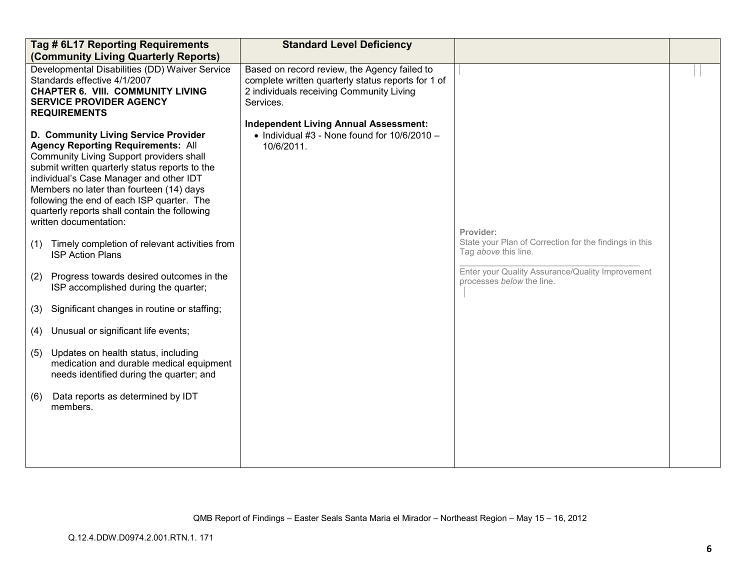|     | Tag # 6L17 Reporting Requirements<br>(Community Living Quarterly Reports)                                                                                                                                                                                                                                                                                                                       | <b>Standard Level Deficiency</b>                                                                                                                                                                            |                                                                                |  |
|-----|-------------------------------------------------------------------------------------------------------------------------------------------------------------------------------------------------------------------------------------------------------------------------------------------------------------------------------------------------------------------------------------------------|-------------------------------------------------------------------------------------------------------------------------------------------------------------------------------------------------------------|--------------------------------------------------------------------------------|--|
|     | Developmental Disabilities (DD) Waiver Service<br>Standards effective 4/1/2007<br><b>CHAPTER 6. VIII. COMMUNITY LIVING</b><br><b>SERVICE PROVIDER AGENCY</b><br><b>REQUIREMENTS</b>                                                                                                                                                                                                             | Based on record review, the Agency failed to<br>complete written quarterly status reports for 1 of<br>2 individuals receiving Community Living<br>Services.<br><b>Independent Living Annual Assessment:</b> |                                                                                |  |
|     | D. Community Living Service Provider<br><b>Agency Reporting Requirements: All</b><br>Community Living Support providers shall<br>submit written quarterly status reports to the<br>individual's Case Manager and other IDT<br>Members no later than fourteen (14) days<br>following the end of each ISP quarter. The<br>quarterly reports shall contain the following<br>written documentation: | • Individual #3 - None found for $10/6/2010 -$<br>10/6/2011.                                                                                                                                                | Provider:                                                                      |  |
| (1) | Timely completion of relevant activities from<br><b>ISP Action Plans</b>                                                                                                                                                                                                                                                                                                                        |                                                                                                                                                                                                             | State your Plan of Correction for the findings in this<br>Tag above this line. |  |
| (2) | Progress towards desired outcomes in the<br>ISP accomplished during the quarter;                                                                                                                                                                                                                                                                                                                |                                                                                                                                                                                                             | Enter your Quality Assurance/Quality Improvement<br>processes below the line.  |  |
| (3) | Significant changes in routine or staffing;                                                                                                                                                                                                                                                                                                                                                     |                                                                                                                                                                                                             |                                                                                |  |
| (4) | Unusual or significant life events;                                                                                                                                                                                                                                                                                                                                                             |                                                                                                                                                                                                             |                                                                                |  |
| (5) | Updates on health status, including<br>medication and durable medical equipment<br>needs identified during the quarter; and                                                                                                                                                                                                                                                                     |                                                                                                                                                                                                             |                                                                                |  |
| (6) | Data reports as determined by IDT<br>members.                                                                                                                                                                                                                                                                                                                                                   |                                                                                                                                                                                                             |                                                                                |  |
|     |                                                                                                                                                                                                                                                                                                                                                                                                 |                                                                                                                                                                                                             |                                                                                |  |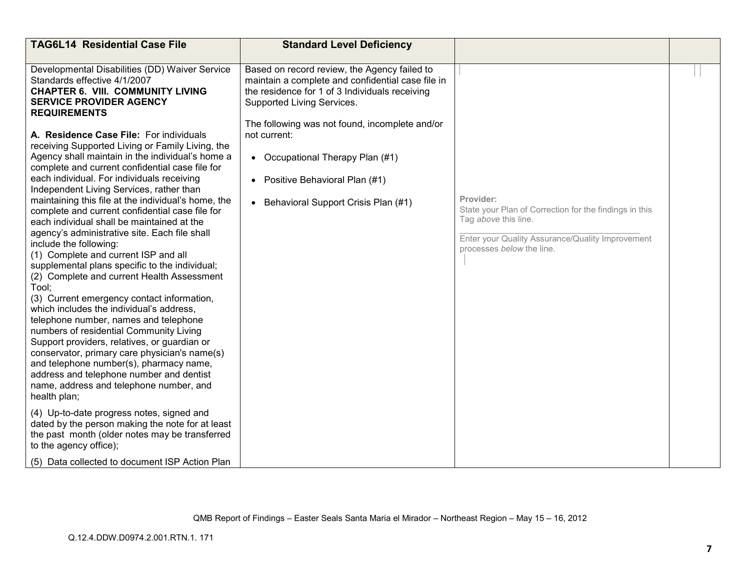| <b>TAG6L14 Residential Case File</b>                                                                                                                                                                                                                                                                                                                                                                                                                                                                                                                                                                                                                                                                                                                                                                              | <b>Standard Level Deficiency</b>                                                                                                                                                                                                                    |                                                                                                                                                                              |  |
|-------------------------------------------------------------------------------------------------------------------------------------------------------------------------------------------------------------------------------------------------------------------------------------------------------------------------------------------------------------------------------------------------------------------------------------------------------------------------------------------------------------------------------------------------------------------------------------------------------------------------------------------------------------------------------------------------------------------------------------------------------------------------------------------------------------------|-----------------------------------------------------------------------------------------------------------------------------------------------------------------------------------------------------------------------------------------------------|------------------------------------------------------------------------------------------------------------------------------------------------------------------------------|--|
| Developmental Disabilities (DD) Waiver Service<br>Standards effective 4/1/2007<br><b>CHAPTER 6. VIII. COMMUNITY LIVING</b><br><b>SERVICE PROVIDER AGENCY</b><br><b>REQUIREMENTS</b><br>A. Residence Case File: For individuals<br>receiving Supported Living or Family Living, the                                                                                                                                                                                                                                                                                                                                                                                                                                                                                                                                | Based on record review, the Agency failed to<br>maintain a complete and confidential case file in<br>the residence for 1 of 3 Individuals receiving<br>Supported Living Services.<br>The following was not found, incomplete and/or<br>not current: |                                                                                                                                                                              |  |
| Agency shall maintain in the individual's home a<br>complete and current confidential case file for                                                                                                                                                                                                                                                                                                                                                                                                                                                                                                                                                                                                                                                                                                               | • Occupational Therapy Plan (#1)                                                                                                                                                                                                                    |                                                                                                                                                                              |  |
| each individual. For individuals receiving<br>Independent Living Services, rather than                                                                                                                                                                                                                                                                                                                                                                                                                                                                                                                                                                                                                                                                                                                            | Positive Behavioral Plan (#1)<br>$\bullet$                                                                                                                                                                                                          |                                                                                                                                                                              |  |
| maintaining this file at the individual's home, the<br>complete and current confidential case file for<br>each individual shall be maintained at the<br>agency's administrative site. Each file shall<br>include the following:<br>(1) Complete and current ISP and all<br>supplemental plans specific to the individual;<br>(2) Complete and current Health Assessment<br>Tool:<br>(3) Current emergency contact information,<br>which includes the individual's address,<br>telephone number, names and telephone<br>numbers of residential Community Living<br>Support providers, relatives, or guardian or<br>conservator, primary care physician's name(s)<br>and telephone number(s), pharmacy name,<br>address and telephone number and dentist<br>name, address and telephone number, and<br>health plan; | • Behavioral Support Crisis Plan (#1)                                                                                                                                                                                                               | Provider:<br>State your Plan of Correction for the findings in this<br>Tag above this line.<br>Enter your Quality Assurance/Quality Improvement<br>processes below the line. |  |
| (4) Up-to-date progress notes, signed and<br>dated by the person making the note for at least<br>the past month (older notes may be transferred<br>to the agency office);                                                                                                                                                                                                                                                                                                                                                                                                                                                                                                                                                                                                                                         |                                                                                                                                                                                                                                                     |                                                                                                                                                                              |  |
| (5) Data collected to document ISP Action Plan                                                                                                                                                                                                                                                                                                                                                                                                                                                                                                                                                                                                                                                                                                                                                                    |                                                                                                                                                                                                                                                     |                                                                                                                                                                              |  |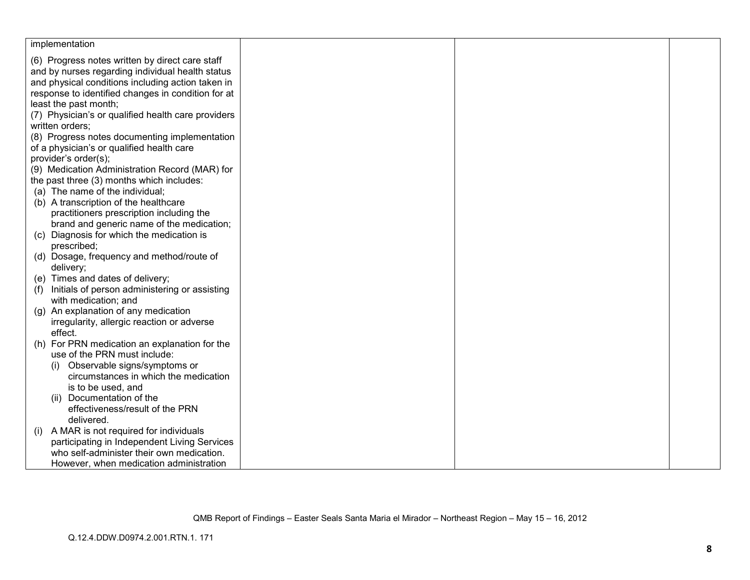| implementation                                               |  |  |
|--------------------------------------------------------------|--|--|
| (6) Progress notes written by direct care staff              |  |  |
| and by nurses regarding individual health status             |  |  |
| and physical conditions including action taken in            |  |  |
| response to identified changes in condition for at           |  |  |
| least the past month;                                        |  |  |
| (7) Physician's or qualified health care providers           |  |  |
| written orders:                                              |  |  |
| (8) Progress notes documenting implementation                |  |  |
| of a physician's or qualified health care                    |  |  |
| provider's order(s);                                         |  |  |
| (9) Medication Administration Record (MAR) for               |  |  |
| the past three (3) months which includes:                    |  |  |
| (a) The name of the individual;                              |  |  |
| (b) A transcription of the healthcare                        |  |  |
| practitioners prescription including the                     |  |  |
| brand and generic name of the medication;                    |  |  |
| (c) Diagnosis for which the medication is                    |  |  |
| prescribed;                                                  |  |  |
| (d) Dosage, frequency and method/route of                    |  |  |
| delivery;                                                    |  |  |
| (e) Times and dates of delivery;                             |  |  |
| Initials of person administering or assisting<br>(f)         |  |  |
| with medication; and<br>(g) An explanation of any medication |  |  |
| irregularity, allergic reaction or adverse                   |  |  |
| effect.                                                      |  |  |
| (h) For PRN medication an explanation for the                |  |  |
| use of the PRN must include:                                 |  |  |
| (i) Observable signs/symptoms or                             |  |  |
| circumstances in which the medication                        |  |  |
| is to be used, and                                           |  |  |
| (ii) Documentation of the                                    |  |  |
| effectiveness/result of the PRN                              |  |  |
| delivered.                                                   |  |  |
| A MAR is not required for individuals<br>(i)                 |  |  |
| participating in Independent Living Services                 |  |  |
| who self-administer their own medication.                    |  |  |
| However, when medication administration                      |  |  |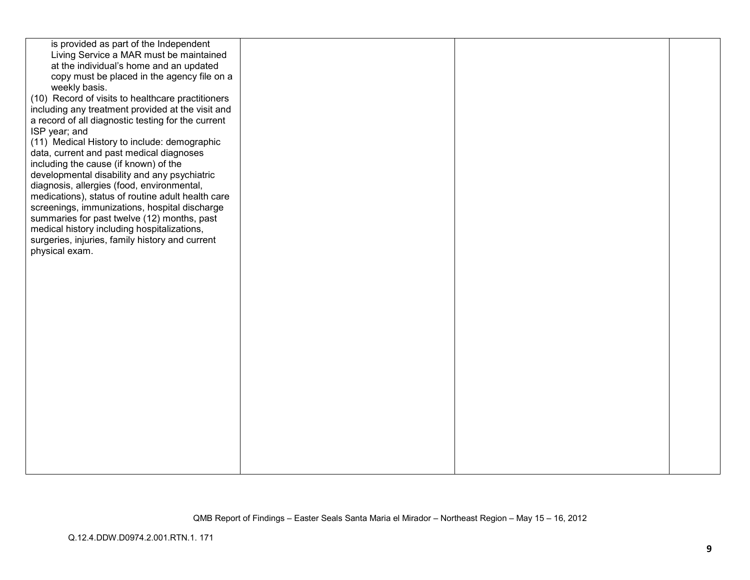| is provided as part of the Independent             |  |  |
|----------------------------------------------------|--|--|
| Living Service a MAR must be maintained            |  |  |
| at the individual's home and an updated            |  |  |
| copy must be placed in the agency file on a        |  |  |
| weekly basis.                                      |  |  |
| (10) Record of visits to healthcare practitioners  |  |  |
| including any treatment provided at the visit and  |  |  |
| a record of all diagnostic testing for the current |  |  |
| ISP year; and                                      |  |  |
| (11) Medical History to include: demographic       |  |  |
| data, current and past medical diagnoses           |  |  |
| including the cause (if known) of the              |  |  |
| developmental disability and any psychiatric       |  |  |
| diagnosis, allergies (food, environmental,         |  |  |
| medications), status of routine adult health care  |  |  |
| screenings, immunizations, hospital discharge      |  |  |
| summaries for past twelve (12) months, past        |  |  |
| medical history including hospitalizations,        |  |  |
| surgeries, injuries, family history and current    |  |  |
| physical exam.                                     |  |  |
|                                                    |  |  |
|                                                    |  |  |
|                                                    |  |  |
|                                                    |  |  |
|                                                    |  |  |
|                                                    |  |  |
|                                                    |  |  |
|                                                    |  |  |
|                                                    |  |  |
|                                                    |  |  |
|                                                    |  |  |
|                                                    |  |  |
|                                                    |  |  |
|                                                    |  |  |
|                                                    |  |  |
|                                                    |  |  |
|                                                    |  |  |
|                                                    |  |  |
|                                                    |  |  |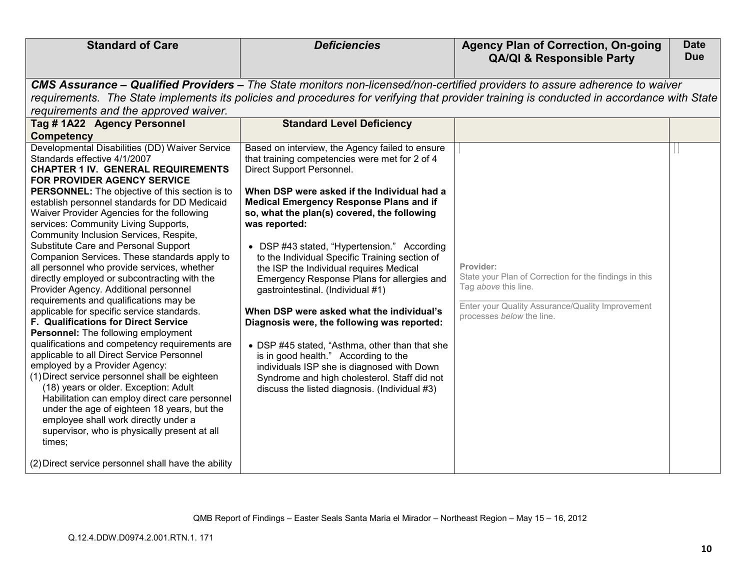| <b>Standard of Care</b>                                                                                                                                                                                                                                                                                                                                                                                                                                                                                    | <b>Deficiencies</b>                                                                                                                                                                                                                                                                  | <b>Agency Plan of Correction, On-going</b><br><b>QA/QI &amp; Responsible Party</b>                                                                                           | <b>Date</b><br><b>Due</b> |
|------------------------------------------------------------------------------------------------------------------------------------------------------------------------------------------------------------------------------------------------------------------------------------------------------------------------------------------------------------------------------------------------------------------------------------------------------------------------------------------------------------|--------------------------------------------------------------------------------------------------------------------------------------------------------------------------------------------------------------------------------------------------------------------------------------|------------------------------------------------------------------------------------------------------------------------------------------------------------------------------|---------------------------|
|                                                                                                                                                                                                                                                                                                                                                                                                                                                                                                            |                                                                                                                                                                                                                                                                                      |                                                                                                                                                                              |                           |
|                                                                                                                                                                                                                                                                                                                                                                                                                                                                                                            | <b>CMS Assurance – Qualified Providers –</b> The State monitors non-licensed/non-certified providers to assure adherence to waiver                                                                                                                                                   |                                                                                                                                                                              |                           |
| requirements and the approved waiver.                                                                                                                                                                                                                                                                                                                                                                                                                                                                      | requirements. The State implements its policies and procedures for verifying that provider training is conducted in accordance with State                                                                                                                                            |                                                                                                                                                                              |                           |
| Tag # 1A22 Agency Personnel                                                                                                                                                                                                                                                                                                                                                                                                                                                                                | <b>Standard Level Deficiency</b>                                                                                                                                                                                                                                                     |                                                                                                                                                                              |                           |
| <b>Competency</b>                                                                                                                                                                                                                                                                                                                                                                                                                                                                                          |                                                                                                                                                                                                                                                                                      |                                                                                                                                                                              |                           |
| Developmental Disabilities (DD) Waiver Service<br>Standards effective 4/1/2007<br><b>CHAPTER 1 IV. GENERAL REQUIREMENTS</b><br><b>FOR PROVIDER AGENCY SERVICE</b>                                                                                                                                                                                                                                                                                                                                          | Based on interview, the Agency failed to ensure<br>that training competencies were met for 2 of 4<br>Direct Support Personnel.                                                                                                                                                       |                                                                                                                                                                              |                           |
| PERSONNEL: The objective of this section is to<br>establish personnel standards for DD Medicaid<br>Waiver Provider Agencies for the following<br>services: Community Living Supports,<br>Community Inclusion Services, Respite,                                                                                                                                                                                                                                                                            | When DSP were asked if the Individual had a<br><b>Medical Emergency Response Plans and if</b><br>so, what the plan(s) covered, the following<br>was reported:                                                                                                                        |                                                                                                                                                                              |                           |
| Substitute Care and Personal Support<br>Companion Services. These standards apply to<br>all personnel who provide services, whether<br>directly employed or subcontracting with the<br>Provider Agency. Additional personnel<br>requirements and qualifications may be<br>applicable for specific service standards.                                                                                                                                                                                       | • DSP #43 stated, "Hypertension." According<br>to the Individual Specific Training section of<br>the ISP the Individual requires Medical<br>Emergency Response Plans for allergies and<br>gastrointestinal. (Individual #1)<br>When DSP were asked what the individual's             | Provider:<br>State your Plan of Correction for the findings in this<br>Tag above this line.<br>Enter your Quality Assurance/Quality Improvement<br>processes below the line. |                           |
| F. Qualifications for Direct Service<br>Personnel: The following employment<br>qualifications and competency requirements are<br>applicable to all Direct Service Personnel<br>employed by a Provider Agency:<br>(1) Direct service personnel shall be eighteen<br>(18) years or older. Exception: Adult<br>Habilitation can employ direct care personnel<br>under the age of eighteen 18 years, but the<br>employee shall work directly under a<br>supervisor, who is physically present at all<br>times; | Diagnosis were, the following was reported:<br>• DSP #45 stated, "Asthma, other than that she<br>is in good health." According to the<br>individuals ISP she is diagnosed with Down<br>Syndrome and high cholesterol. Staff did not<br>discuss the listed diagnosis. (Individual #3) |                                                                                                                                                                              |                           |
| (2) Direct service personnel shall have the ability                                                                                                                                                                                                                                                                                                                                                                                                                                                        |                                                                                                                                                                                                                                                                                      |                                                                                                                                                                              |                           |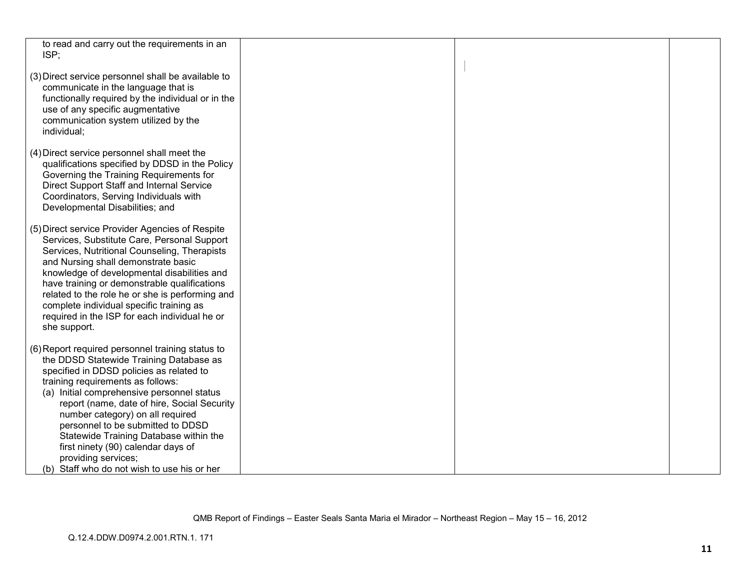| to read and carry out the requirements in an                                        |  |  |
|-------------------------------------------------------------------------------------|--|--|
| ISP:                                                                                |  |  |
|                                                                                     |  |  |
| (3) Direct service personnel shall be available to                                  |  |  |
| communicate in the language that is                                                 |  |  |
|                                                                                     |  |  |
| functionally required by the individual or in the                                   |  |  |
| use of any specific augmentative                                                    |  |  |
| communication system utilized by the                                                |  |  |
| individual;                                                                         |  |  |
|                                                                                     |  |  |
| (4) Direct service personnel shall meet the                                         |  |  |
| qualifications specified by DDSD in the Policy                                      |  |  |
| Governing the Training Requirements for                                             |  |  |
| Direct Support Staff and Internal Service<br>Coordinators, Serving Individuals with |  |  |
| Developmental Disabilities; and                                                     |  |  |
|                                                                                     |  |  |
| (5) Direct service Provider Agencies of Respite                                     |  |  |
| Services, Substitute Care, Personal Support                                         |  |  |
| Services, Nutritional Counseling, Therapists                                        |  |  |
| and Nursing shall demonstrate basic                                                 |  |  |
| knowledge of developmental disabilities and                                         |  |  |
| have training or demonstrable qualifications                                        |  |  |
| related to the role he or she is performing and                                     |  |  |
| complete individual specific training as                                            |  |  |
| required in the ISP for each individual he or                                       |  |  |
| she support.                                                                        |  |  |
|                                                                                     |  |  |
| (6) Report required personnel training status to                                    |  |  |
| the DDSD Statewide Training Database as                                             |  |  |
| specified in DDSD policies as related to                                            |  |  |
| training requirements as follows:                                                   |  |  |
| (a) Initial comprehensive personnel status                                          |  |  |
| report (name, date of hire, Social Security                                         |  |  |
| number category) on all required                                                    |  |  |
| personnel to be submitted to DDSD                                                   |  |  |
| Statewide Training Database within the                                              |  |  |
| first ninety (90) calendar days of                                                  |  |  |
| providing services;                                                                 |  |  |
| (b) Staff who do not wish to use his or her                                         |  |  |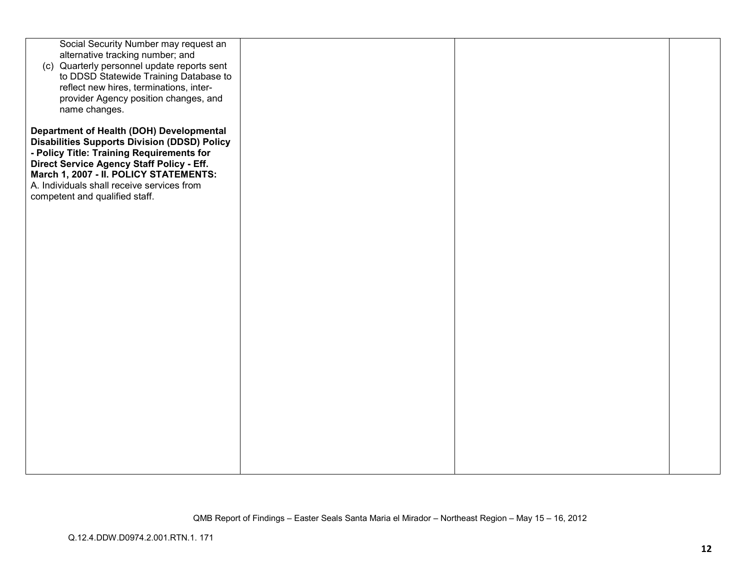| Social Security Number may request an<br>alternative tracking number; and<br>(c) Quarterly personnel update reports sent<br>to DDSD Statewide Training Database to<br>reflect new hires, terminations, inter-<br>provider Agency position changes, and<br>name changes.                                             |  |  |
|---------------------------------------------------------------------------------------------------------------------------------------------------------------------------------------------------------------------------------------------------------------------------------------------------------------------|--|--|
| Department of Health (DOH) Developmental<br><b>Disabilities Supports Division (DDSD) Policy</b><br>- Policy Title: Training Requirements for<br>Direct Service Agency Staff Policy - Eff.<br>March 1, 2007 - II. POLICY STATEMENTS:<br>A. Individuals shall receive services from<br>competent and qualified staff. |  |  |
|                                                                                                                                                                                                                                                                                                                     |  |  |
|                                                                                                                                                                                                                                                                                                                     |  |  |
|                                                                                                                                                                                                                                                                                                                     |  |  |
|                                                                                                                                                                                                                                                                                                                     |  |  |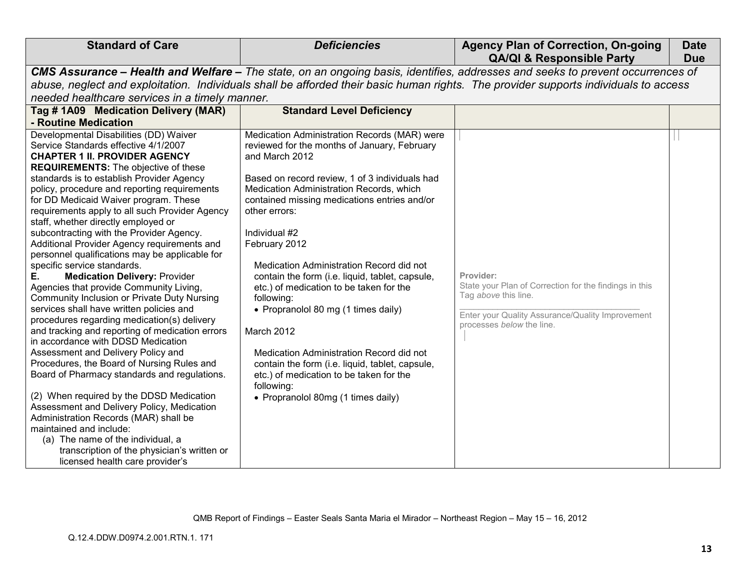|                                                                                                                                                                                                                                                                                                                                                                                                                                                                                                                                                                                                                                                                                                                                                                                                                                                                                                                                                                                                                                                                                                                                                                                                                                                                                                                                              |                                                                                                                                                                                                                                                                                                                                                                                                                                                                                                                                                                                                                                                                                                                            | <b>QA/QI &amp; Responsible Party</b>                                                                                                                                         | <b>Due</b> |  |  |
|----------------------------------------------------------------------------------------------------------------------------------------------------------------------------------------------------------------------------------------------------------------------------------------------------------------------------------------------------------------------------------------------------------------------------------------------------------------------------------------------------------------------------------------------------------------------------------------------------------------------------------------------------------------------------------------------------------------------------------------------------------------------------------------------------------------------------------------------------------------------------------------------------------------------------------------------------------------------------------------------------------------------------------------------------------------------------------------------------------------------------------------------------------------------------------------------------------------------------------------------------------------------------------------------------------------------------------------------|----------------------------------------------------------------------------------------------------------------------------------------------------------------------------------------------------------------------------------------------------------------------------------------------------------------------------------------------------------------------------------------------------------------------------------------------------------------------------------------------------------------------------------------------------------------------------------------------------------------------------------------------------------------------------------------------------------------------------|------------------------------------------------------------------------------------------------------------------------------------------------------------------------------|------------|--|--|
| CMS Assurance - Health and Welfare - The state, on an ongoing basis, identifies, addresses and seeks to prevent occurrences of                                                                                                                                                                                                                                                                                                                                                                                                                                                                                                                                                                                                                                                                                                                                                                                                                                                                                                                                                                                                                                                                                                                                                                                                               |                                                                                                                                                                                                                                                                                                                                                                                                                                                                                                                                                                                                                                                                                                                            |                                                                                                                                                                              |            |  |  |
|                                                                                                                                                                                                                                                                                                                                                                                                                                                                                                                                                                                                                                                                                                                                                                                                                                                                                                                                                                                                                                                                                                                                                                                                                                                                                                                                              | abuse, neglect and exploitation. Individuals shall be afforded their basic human rights. The provider supports individuals to access                                                                                                                                                                                                                                                                                                                                                                                                                                                                                                                                                                                       |                                                                                                                                                                              |            |  |  |
| needed healthcare services in a timely manner.                                                                                                                                                                                                                                                                                                                                                                                                                                                                                                                                                                                                                                                                                                                                                                                                                                                                                                                                                                                                                                                                                                                                                                                                                                                                                               |                                                                                                                                                                                                                                                                                                                                                                                                                                                                                                                                                                                                                                                                                                                            |                                                                                                                                                                              |            |  |  |
| Tag # 1A09 Medication Delivery (MAR)                                                                                                                                                                                                                                                                                                                                                                                                                                                                                                                                                                                                                                                                                                                                                                                                                                                                                                                                                                                                                                                                                                                                                                                                                                                                                                         | <b>Standard Level Deficiency</b>                                                                                                                                                                                                                                                                                                                                                                                                                                                                                                                                                                                                                                                                                           |                                                                                                                                                                              |            |  |  |
| - Routine Medication                                                                                                                                                                                                                                                                                                                                                                                                                                                                                                                                                                                                                                                                                                                                                                                                                                                                                                                                                                                                                                                                                                                                                                                                                                                                                                                         |                                                                                                                                                                                                                                                                                                                                                                                                                                                                                                                                                                                                                                                                                                                            |                                                                                                                                                                              |            |  |  |
| Developmental Disabilities (DD) Waiver<br>Service Standards effective 4/1/2007<br><b>CHAPTER 1 II. PROVIDER AGENCY</b><br><b>REQUIREMENTS:</b> The objective of these<br>standards is to establish Provider Agency<br>policy, procedure and reporting requirements<br>for DD Medicaid Waiver program. These<br>requirements apply to all such Provider Agency<br>staff, whether directly employed or<br>subcontracting with the Provider Agency.<br>Additional Provider Agency requirements and<br>personnel qualifications may be applicable for<br>specific service standards.<br>Е.<br><b>Medication Delivery: Provider</b><br>Agencies that provide Community Living,<br><b>Community Inclusion or Private Duty Nursing</b><br>services shall have written policies and<br>procedures regarding medication(s) delivery<br>and tracking and reporting of medication errors<br>in accordance with DDSD Medication<br>Assessment and Delivery Policy and<br>Procedures, the Board of Nursing Rules and<br>Board of Pharmacy standards and regulations.<br>(2) When required by the DDSD Medication<br>Assessment and Delivery Policy, Medication<br>Administration Records (MAR) shall be<br>maintained and include:<br>(a) The name of the individual, a<br>transcription of the physician's written or<br>licensed health care provider's | Medication Administration Records (MAR) were<br>reviewed for the months of January, February<br>and March 2012<br>Based on record review, 1 of 3 individuals had<br>Medication Administration Records, which<br>contained missing medications entries and/or<br>other errors:<br>Individual #2<br>February 2012<br>Medication Administration Record did not<br>contain the form (i.e. liquid, tablet, capsule,<br>etc.) of medication to be taken for the<br>following:<br>• Propranolol 80 mg (1 times daily)<br>March 2012<br>Medication Administration Record did not<br>contain the form (i.e. liquid, tablet, capsule,<br>etc.) of medication to be taken for the<br>following:<br>• Propranolol 80mg (1 times daily) | Provider:<br>State your Plan of Correction for the findings in this<br>Tag above this line.<br>Enter your Quality Assurance/Quality Improvement<br>processes below the line. |            |  |  |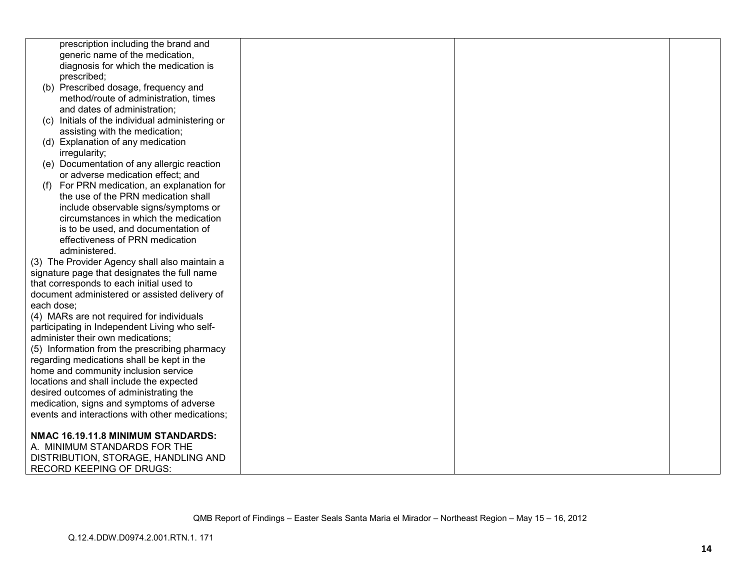|            | prescription including the brand and            |  |  |
|------------|-------------------------------------------------|--|--|
|            | generic name of the medication,                 |  |  |
|            | diagnosis for which the medication is           |  |  |
|            | prescribed;                                     |  |  |
|            | (b) Prescribed dosage, frequency and            |  |  |
|            |                                                 |  |  |
|            | method/route of administration, times           |  |  |
|            | and dates of administration;                    |  |  |
|            | (c) Initials of the individual administering or |  |  |
|            | assisting with the medication;                  |  |  |
|            | (d) Explanation of any medication               |  |  |
|            | irregularity;                                   |  |  |
|            | (e) Documentation of any allergic reaction      |  |  |
|            | or adverse medication effect; and               |  |  |
| (1)        | For PRN medication, an explanation for          |  |  |
|            | the use of the PRN medication shall             |  |  |
|            | include observable signs/symptoms or            |  |  |
|            | circumstances in which the medication           |  |  |
|            | is to be used, and documentation of             |  |  |
|            | effectiveness of PRN medication                 |  |  |
|            | administered.                                   |  |  |
|            | (3) The Provider Agency shall also maintain a   |  |  |
|            | signature page that designates the full name    |  |  |
|            | that corresponds to each initial used to        |  |  |
|            | document administered or assisted delivery of   |  |  |
| each dose; |                                                 |  |  |
|            | (4) MARs are not required for individuals       |  |  |
|            | participating in Independent Living who self-   |  |  |
|            | administer their own medications;               |  |  |
|            | (5) Information from the prescribing pharmacy   |  |  |
|            | regarding medications shall be kept in the      |  |  |
|            | home and community inclusion service            |  |  |
|            | locations and shall include the expected        |  |  |
|            | desired outcomes of administrating the          |  |  |
|            | medication, signs and symptoms of adverse       |  |  |
|            | events and interactions with other medications; |  |  |
|            |                                                 |  |  |
|            | NMAC 16.19.11.8 MINIMUM STANDARDS:              |  |  |
|            | A. MINIMUM STANDARDS FOR THE                    |  |  |
|            |                                                 |  |  |
|            | DISTRIBUTION, STORAGE, HANDLING AND             |  |  |
|            | <b>RECORD KEEPING OF DRUGS:</b>                 |  |  |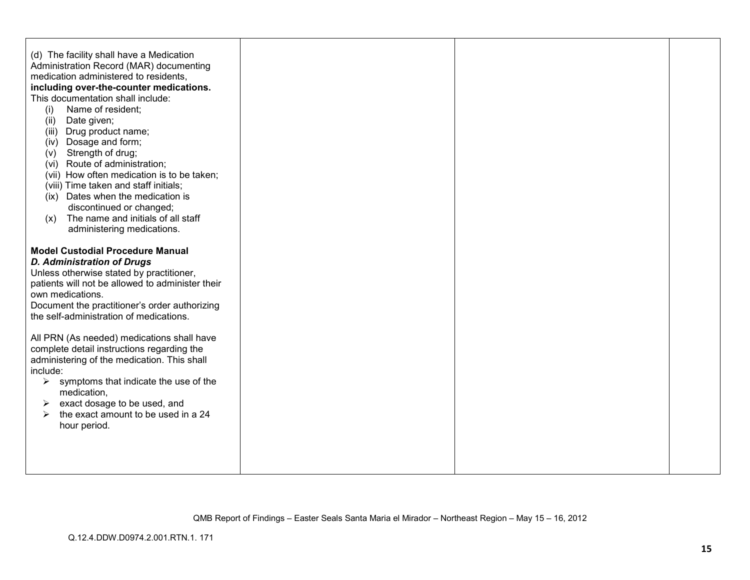| (d) The facility shall have a Medication<br>Administration Record (MAR) documenting<br>medication administered to residents,<br>including over-the-counter medications.<br>This documentation shall include:<br>Name of resident;<br>(i)<br>(ii)<br>Date given;<br>(iii) Drug product name;<br>Dosage and form;<br>(iv)<br>Strength of drug;<br>(v)<br>(vi) Route of administration;<br>(vii) How often medication is to be taken;<br>(viii) Time taken and staff initials;<br>(ix) Dates when the medication is<br>discontinued or changed;<br>The name and initials of all staff<br>(x)<br>administering medications. |  |  |
|-------------------------------------------------------------------------------------------------------------------------------------------------------------------------------------------------------------------------------------------------------------------------------------------------------------------------------------------------------------------------------------------------------------------------------------------------------------------------------------------------------------------------------------------------------------------------------------------------------------------------|--|--|
| <b>Model Custodial Procedure Manual</b><br><b>D. Administration of Drugs</b><br>Unless otherwise stated by practitioner,<br>patients will not be allowed to administer their<br>own medications.<br>Document the practitioner's order authorizing<br>the self-administration of medications.                                                                                                                                                                                                                                                                                                                            |  |  |
| All PRN (As needed) medications shall have<br>complete detail instructions regarding the<br>administering of the medication. This shall<br>include:<br>$\triangleright$ symptoms that indicate the use of the<br>medication,<br>exact dosage to be used, and<br>➤<br>the exact amount to be used in a 24<br>➤<br>hour period.                                                                                                                                                                                                                                                                                           |  |  |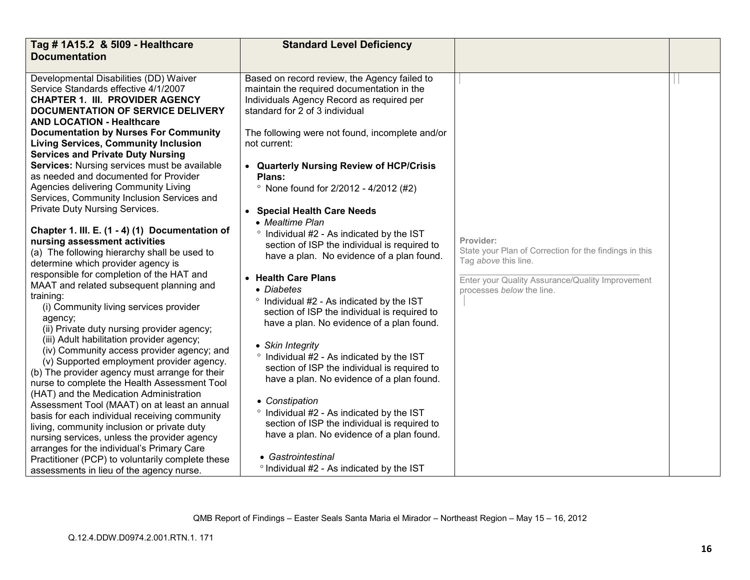| Tag # 1A15.2 & 5109 - Healthcare<br><b>Documentation</b>                                                                                                                                                                                                                              | <b>Standard Level Deficiency</b>                                                                                                                                            |                                                                                             |  |
|---------------------------------------------------------------------------------------------------------------------------------------------------------------------------------------------------------------------------------------------------------------------------------------|-----------------------------------------------------------------------------------------------------------------------------------------------------------------------------|---------------------------------------------------------------------------------------------|--|
| Developmental Disabilities (DD) Waiver<br>Service Standards effective 4/1/2007<br><b>CHAPTER 1. III. PROVIDER AGENCY</b><br><b>DOCUMENTATION OF SERVICE DELIVERY</b><br><b>AND LOCATION - Healthcare</b>                                                                              | Based on record review, the Agency failed to<br>maintain the required documentation in the<br>Individuals Agency Record as required per<br>standard for 2 of 3 individual   |                                                                                             |  |
| <b>Documentation by Nurses For Community</b><br><b>Living Services, Community Inclusion</b><br><b>Services and Private Duty Nursing</b>                                                                                                                                               | The following were not found, incomplete and/or<br>not current:                                                                                                             |                                                                                             |  |
| Services: Nursing services must be available<br>as needed and documented for Provider<br>Agencies delivering Community Living                                                                                                                                                         | • Quarterly Nursing Review of HCP/Crisis<br>Plans:<br><sup>o</sup> None found for 2/2012 - 4/2012 (#2)                                                                      |                                                                                             |  |
| Services, Community Inclusion Services and<br>Private Duty Nursing Services.                                                                                                                                                                                                          | • Special Health Care Needs                                                                                                                                                 |                                                                                             |  |
| Chapter 1. III. E. (1 - 4) (1) Documentation of<br>nursing assessment activities<br>(a) The following hierarchy shall be used to<br>determine which provider agency is                                                                                                                | • Mealtime Plan<br>° Individual #2 - As indicated by the IST<br>section of ISP the individual is required to<br>have a plan. No evidence of a plan found.                   | Provider:<br>State your Plan of Correction for the findings in this<br>Tag above this line. |  |
| responsible for completion of the HAT and<br>MAAT and related subsequent planning and<br>training:<br>(i) Community living services provider<br>agency;                                                                                                                               | • Health Care Plans<br>• Diabetes<br>° Individual #2 - As indicated by the IST<br>section of ISP the individual is required to<br>have a plan. No evidence of a plan found. | Enter your Quality Assurance/Quality Improvement<br>processes below the line.               |  |
| (ii) Private duty nursing provider agency;<br>(iii) Adult habilitation provider agency;<br>(iv) Community access provider agency; and<br>(v) Supported employment provider agency.<br>(b) The provider agency must arrange for their<br>nurse to complete the Health Assessment Tool  | • Skin Integrity<br>° Individual #2 - As indicated by the IST<br>section of ISP the individual is required to<br>have a plan. No evidence of a plan found.                  |                                                                                             |  |
| (HAT) and the Medication Administration<br>Assessment Tool (MAAT) on at least an annual<br>basis for each individual receiving community<br>living, community inclusion or private duty<br>nursing services, unless the provider agency<br>arranges for the individual's Primary Care | • Constipation<br>° Individual #2 - As indicated by the IST<br>section of ISP the individual is required to<br>have a plan. No evidence of a plan found.                    |                                                                                             |  |
| Practitioner (PCP) to voluntarily complete these<br>assessments in lieu of the agency nurse.                                                                                                                                                                                          | • Gastrointestinal<br>° Individual #2 - As indicated by the IST                                                                                                             |                                                                                             |  |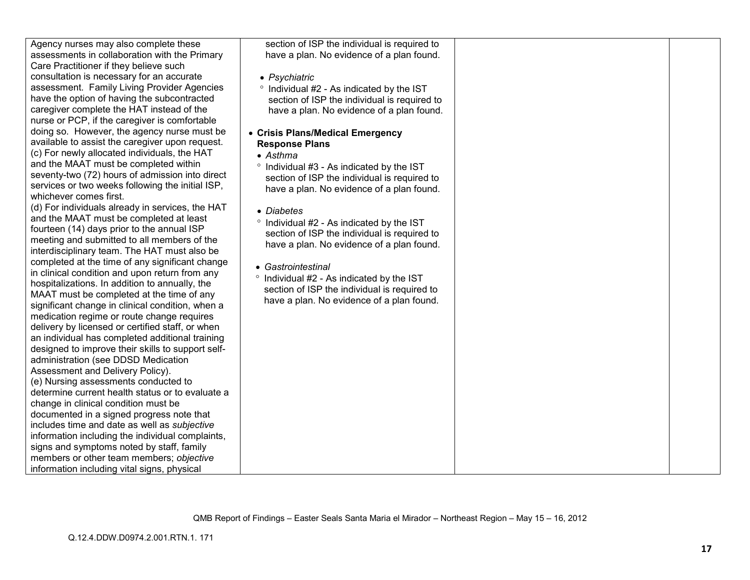| Agency nurses may also complete these             | section of ISP the individual is required to |  |
|---------------------------------------------------|----------------------------------------------|--|
| assessments in collaboration with the Primary     | have a plan. No evidence of a plan found.    |  |
| Care Practitioner if they believe such            |                                              |  |
| consultation is necessary for an accurate         | • Psychiatric                                |  |
| assessment. Family Living Provider Agencies       | ° Individual #2 - As indicated by the IST    |  |
| have the option of having the subcontracted       | section of ISP the individual is required to |  |
| caregiver complete the HAT instead of the         | have a plan. No evidence of a plan found.    |  |
| nurse or PCP, if the caregiver is comfortable     |                                              |  |
| doing so. However, the agency nurse must be       | • Crisis Plans/Medical Emergency             |  |
| available to assist the caregiver upon request.   | <b>Response Plans</b>                        |  |
| (c) For newly allocated individuals, the HAT      | $\bullet$ Asthma                             |  |
| and the MAAT must be completed within             | ° Individual #3 - As indicated by the IST    |  |
| seventy-two (72) hours of admission into direct   | section of ISP the individual is required to |  |
| services or two weeks following the initial ISP,  | have a plan. No evidence of a plan found.    |  |
| whichever comes first.                            |                                              |  |
| (d) For individuals already in services, the HAT  | • Diabetes                                   |  |
| and the MAAT must be completed at least           | ° Individual #2 - As indicated by the IST    |  |
| fourteen (14) days prior to the annual ISP        | section of ISP the individual is required to |  |
| meeting and submitted to all members of the       | have a plan. No evidence of a plan found.    |  |
| interdisciplinary team. The HAT must also be      |                                              |  |
| completed at the time of any significant change   | • Gastrointestinal                           |  |
| in clinical condition and upon return from any    | ° Individual #2 - As indicated by the IST    |  |
| hospitalizations. In addition to annually, the    | section of ISP the individual is required to |  |
| MAAT must be completed at the time of any         | have a plan. No evidence of a plan found.    |  |
| significant change in clinical condition, when a  |                                              |  |
| medication regime or route change requires        |                                              |  |
| delivery by licensed or certified staff, or when  |                                              |  |
| an individual has completed additional training   |                                              |  |
| designed to improve their skills to support self- |                                              |  |
| administration (see DDSD Medication               |                                              |  |
| Assessment and Delivery Policy).                  |                                              |  |
| (e) Nursing assessments conducted to              |                                              |  |
| determine current health status or to evaluate a  |                                              |  |
| change in clinical condition must be              |                                              |  |
| documented in a signed progress note that         |                                              |  |
| includes time and date as well as subjective      |                                              |  |
| information including the individual complaints,  |                                              |  |
| signs and symptoms noted by staff, family         |                                              |  |
| members or other team members; objective          |                                              |  |
| information including vital signs, physical       |                                              |  |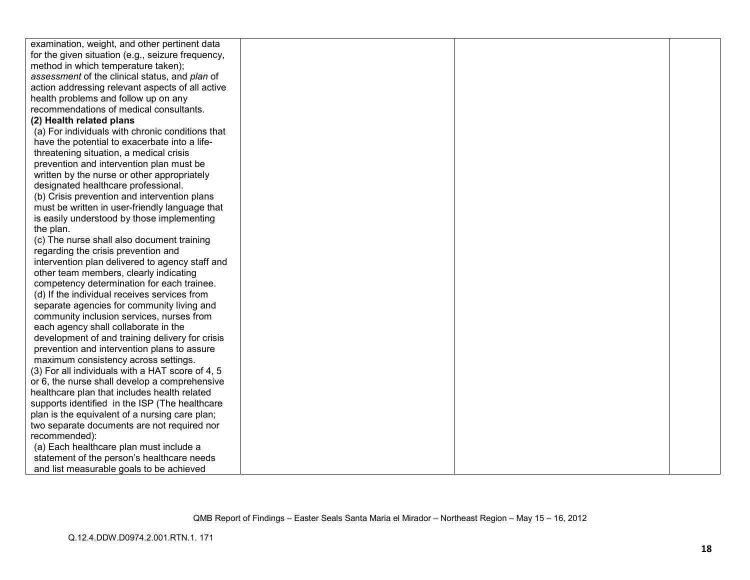| examination, weight, and other pertinent data     |  |  |
|---------------------------------------------------|--|--|
| for the given situation (e.g., seizure frequency, |  |  |
| method in which temperature taken);               |  |  |
| assessment of the clinical status, and plan of    |  |  |
| action addressing relevant aspects of all active  |  |  |
| health problems and follow up on any              |  |  |
| recommendations of medical consultants.           |  |  |
| (2) Health related plans                          |  |  |
| (a) For individuals with chronic conditions that  |  |  |
| have the potential to exacerbate into a life-     |  |  |
| threatening situation, a medical crisis           |  |  |
| prevention and intervention plan must be          |  |  |
| written by the nurse or other appropriately       |  |  |
| designated healthcare professional.               |  |  |
| (b) Crisis prevention and intervention plans      |  |  |
| must be written in user-friendly language that    |  |  |
| is easily understood by those implementing        |  |  |
| the plan.                                         |  |  |
| (c) The nurse shall also document training        |  |  |
| regarding the crisis prevention and               |  |  |
| intervention plan delivered to agency staff and   |  |  |
| other team members, clearly indicating            |  |  |
| competency determination for each trainee.        |  |  |
| (d) If the individual receives services from      |  |  |
| separate agencies for community living and        |  |  |
| community inclusion services, nurses from         |  |  |
| each agency shall collaborate in the              |  |  |
| development of and training delivery for crisis   |  |  |
| prevention and intervention plans to assure       |  |  |
| maximum consistency across settings.              |  |  |
| (3) For all individuals with a HAT score of 4, 5  |  |  |
| or 6, the nurse shall develop a comprehensive     |  |  |
| healthcare plan that includes health related      |  |  |
| supports identified in the ISP (The healthcare    |  |  |
| plan is the equivalent of a nursing care plan;    |  |  |
| two separate documents are not required nor       |  |  |
| recommended):                                     |  |  |
| (a) Each healthcare plan must include a           |  |  |
| statement of the person's healthcare needs        |  |  |
| and list measurable goals to be achieved          |  |  |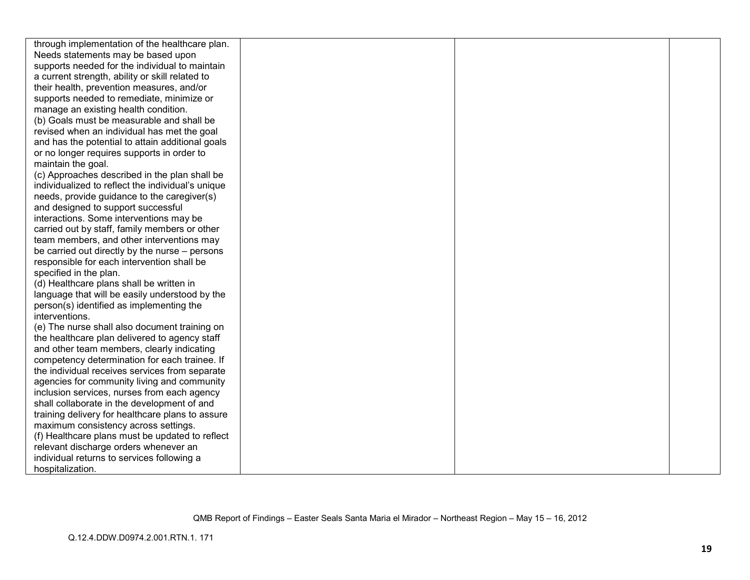| through implementation of the healthcare plan.    |  |  |
|---------------------------------------------------|--|--|
| Needs statements may be based upon                |  |  |
| supports needed for the individual to maintain    |  |  |
| a current strength, ability or skill related to   |  |  |
| their health, prevention measures, and/or         |  |  |
| supports needed to remediate, minimize or         |  |  |
| manage an existing health condition.              |  |  |
| (b) Goals must be measurable and shall be         |  |  |
| revised when an individual has met the goal       |  |  |
| and has the potential to attain additional goals  |  |  |
| or no longer requires supports in order to        |  |  |
| maintain the goal.                                |  |  |
| (c) Approaches described in the plan shall be     |  |  |
| individualized to reflect the individual's unique |  |  |
| needs, provide guidance to the caregiver(s)       |  |  |
| and designed to support successful                |  |  |
| interactions. Some interventions may be           |  |  |
| carried out by staff, family members or other     |  |  |
| team members, and other interventions may         |  |  |
| be carried out directly by the nurse – persons    |  |  |
| responsible for each intervention shall be        |  |  |
| specified in the plan.                            |  |  |
| (d) Healthcare plans shall be written in          |  |  |
| language that will be easily understood by the    |  |  |
| person(s) identified as implementing the          |  |  |
| interventions.                                    |  |  |
| (e) The nurse shall also document training on     |  |  |
| the healthcare plan delivered to agency staff     |  |  |
| and other team members, clearly indicating        |  |  |
| competency determination for each trainee. If     |  |  |
| the individual receives services from separate    |  |  |
| agencies for community living and community       |  |  |
| inclusion services, nurses from each agency       |  |  |
| shall collaborate in the development of and       |  |  |
| training delivery for healthcare plans to assure  |  |  |
| maximum consistency across settings.              |  |  |
| (f) Healthcare plans must be updated to reflect   |  |  |
| relevant discharge orders whenever an             |  |  |
| individual returns to services following a        |  |  |
| hospitalization.                                  |  |  |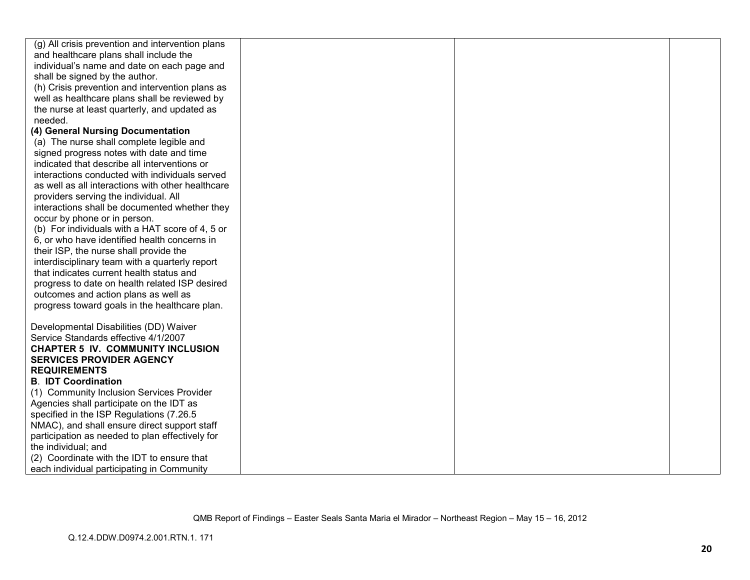| (g) All crisis prevention and intervention plans  |  |  |
|---------------------------------------------------|--|--|
| and healthcare plans shall include the            |  |  |
| individual's name and date on each page and       |  |  |
| shall be signed by the author.                    |  |  |
| (h) Crisis prevention and intervention plans as   |  |  |
| well as healthcare plans shall be reviewed by     |  |  |
| the nurse at least quarterly, and updated as      |  |  |
| needed.                                           |  |  |
| (4) General Nursing Documentation                 |  |  |
| (a) The nurse shall complete legible and          |  |  |
| signed progress notes with date and time          |  |  |
| indicated that describe all interventions or      |  |  |
| interactions conducted with individuals served    |  |  |
| as well as all interactions with other healthcare |  |  |
| providers serving the individual. All             |  |  |
| interactions shall be documented whether they     |  |  |
| occur by phone or in person.                      |  |  |
| (b) For individuals with a HAT score of 4, 5 or   |  |  |
| 6, or who have identified health concerns in      |  |  |
| their ISP, the nurse shall provide the            |  |  |
| interdisciplinary team with a quarterly report    |  |  |
| that indicates current health status and          |  |  |
| progress to date on health related ISP desired    |  |  |
| outcomes and action plans as well as              |  |  |
| progress toward goals in the healthcare plan.     |  |  |
|                                                   |  |  |
| Developmental Disabilities (DD) Waiver            |  |  |
| Service Standards effective 4/1/2007              |  |  |
| <b>CHAPTER 5 IV. COMMUNITY INCLUSION</b>          |  |  |
| <b>SERVICES PROVIDER AGENCY</b>                   |  |  |
| <b>REQUIREMENTS</b>                               |  |  |
| <b>B. IDT Coordination</b>                        |  |  |
| (1) Community Inclusion Services Provider         |  |  |
| Agencies shall participate on the IDT as          |  |  |
| specified in the ISP Regulations (7.26.5)         |  |  |
| NMAC), and shall ensure direct support staff      |  |  |
| participation as needed to plan effectively for   |  |  |
| the individual; and                               |  |  |
| (2) Coordinate with the IDT to ensure that        |  |  |
| each individual participating in Community        |  |  |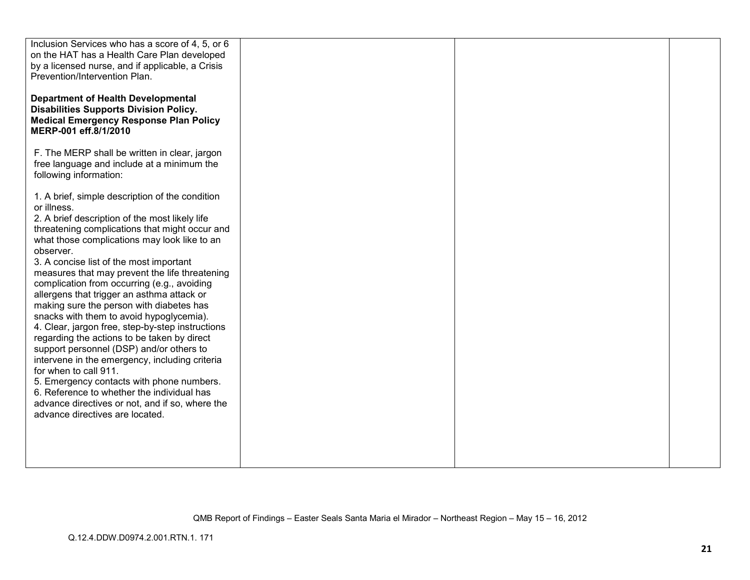| Inclusion Services who has a score of 4, 5, or 6<br>on the HAT has a Health Care Plan developed<br>by a licensed nurse, and if applicable, a Crisis<br>Prevention/Intervention Plan.<br><b>Department of Health Developmental</b>                                                                                                  |  |  |
|------------------------------------------------------------------------------------------------------------------------------------------------------------------------------------------------------------------------------------------------------------------------------------------------------------------------------------|--|--|
| <b>Disabilities Supports Division Policy.</b><br><b>Medical Emergency Response Plan Policy</b><br>MERP-001 eff.8/1/2010                                                                                                                                                                                                            |  |  |
| F. The MERP shall be written in clear, jargon<br>free language and include at a minimum the<br>following information:                                                                                                                                                                                                              |  |  |
| 1. A brief, simple description of the condition<br>or illness.<br>2. A brief description of the most likely life<br>threatening complications that might occur and<br>what those complications may look like to an<br>observer.                                                                                                    |  |  |
| 3. A concise list of the most important<br>measures that may prevent the life threatening<br>complication from occurring (e.g., avoiding<br>allergens that trigger an asthma attack or<br>making sure the person with diabetes has<br>snacks with them to avoid hypoglycemia).<br>4. Clear, jargon free, step-by-step instructions |  |  |
| regarding the actions to be taken by direct<br>support personnel (DSP) and/or others to<br>intervene in the emergency, including criteria<br>for when to call 911.<br>5. Emergency contacts with phone numbers.<br>6. Reference to whether the individual has                                                                      |  |  |
| advance directives or not, and if so, where the<br>advance directives are located.                                                                                                                                                                                                                                                 |  |  |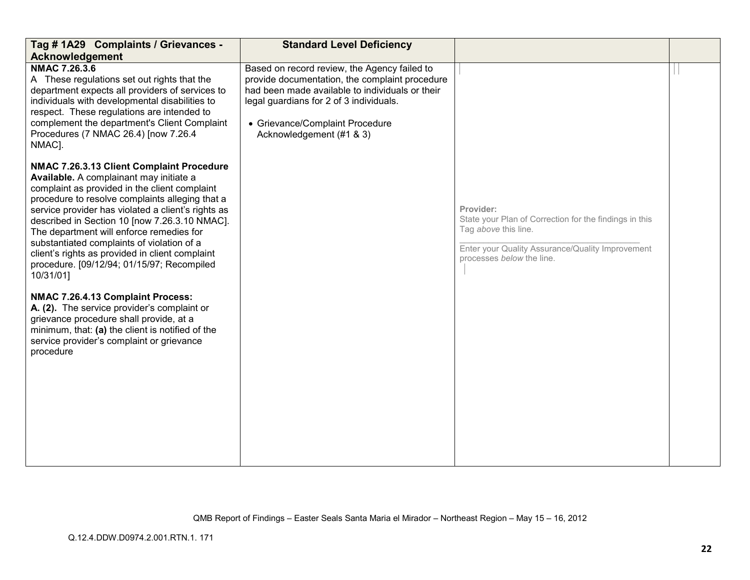| Tag # 1A29 Complaints / Grievances -<br>Acknowledgement                                                                                                                                                                                                                                                                                                                                                                                                                                                 | <b>Standard Level Deficiency</b>                                                                                                                                                                                                                            |                                                                                                                                                                              |  |
|---------------------------------------------------------------------------------------------------------------------------------------------------------------------------------------------------------------------------------------------------------------------------------------------------------------------------------------------------------------------------------------------------------------------------------------------------------------------------------------------------------|-------------------------------------------------------------------------------------------------------------------------------------------------------------------------------------------------------------------------------------------------------------|------------------------------------------------------------------------------------------------------------------------------------------------------------------------------|--|
| <b>NMAC 7.26.3.6</b><br>A These regulations set out rights that the<br>department expects all providers of services to<br>individuals with developmental disabilities to<br>respect. These regulations are intended to<br>complement the department's Client Complaint<br>Procedures (7 NMAC 26.4) [now 7.26.4<br>NMAC].                                                                                                                                                                                | Based on record review, the Agency failed to<br>provide documentation, the complaint procedure<br>had been made available to individuals or their<br>legal guardians for 2 of 3 individuals.<br>• Grievance/Complaint Procedure<br>Acknowledgement (#1 & 3) |                                                                                                                                                                              |  |
| NMAC 7.26.3.13 Client Complaint Procedure<br>Available. A complainant may initiate a<br>complaint as provided in the client complaint<br>procedure to resolve complaints alleging that a<br>service provider has violated a client's rights as<br>described in Section 10 [now 7.26.3.10 NMAC].<br>The department will enforce remedies for<br>substantiated complaints of violation of a<br>client's rights as provided in client complaint<br>procedure. [09/12/94; 01/15/97; Recompiled<br>10/31/01] |                                                                                                                                                                                                                                                             | Provider:<br>State your Plan of Correction for the findings in this<br>Tag above this line.<br>Enter your Quality Assurance/Quality Improvement<br>processes below the line. |  |
| NMAC 7.26.4.13 Complaint Process:<br>A. (2). The service provider's complaint or<br>grievance procedure shall provide, at a<br>minimum, that: (a) the client is notified of the<br>service provider's complaint or grievance<br>procedure                                                                                                                                                                                                                                                               |                                                                                                                                                                                                                                                             |                                                                                                                                                                              |  |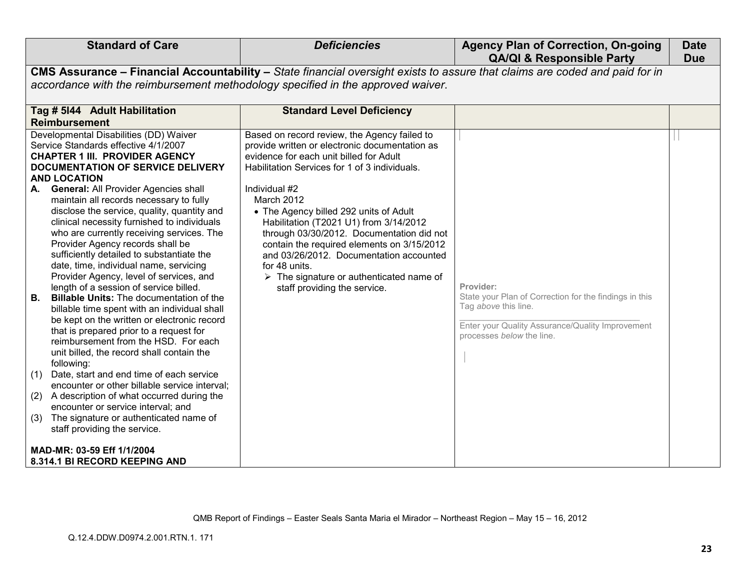| <b>Standard of Care</b>                                                                                                                                                                                                                                                                                                                                                                                                                                                                                                                                                                                                                                                                                                                                                                                                                                                                                                                                                                                                                                                                                                                                                                                                                                                                             | <b>Deficiencies</b>                                                                                                                                                                                                                                                                                                                                                                                                                                                                                                                                             | <b>Agency Plan of Correction, On-going</b><br><b>QA/QI &amp; Responsible Party</b>                                                                                           | <b>Date</b><br><b>Due</b> |  |  |  |  |
|-----------------------------------------------------------------------------------------------------------------------------------------------------------------------------------------------------------------------------------------------------------------------------------------------------------------------------------------------------------------------------------------------------------------------------------------------------------------------------------------------------------------------------------------------------------------------------------------------------------------------------------------------------------------------------------------------------------------------------------------------------------------------------------------------------------------------------------------------------------------------------------------------------------------------------------------------------------------------------------------------------------------------------------------------------------------------------------------------------------------------------------------------------------------------------------------------------------------------------------------------------------------------------------------------------|-----------------------------------------------------------------------------------------------------------------------------------------------------------------------------------------------------------------------------------------------------------------------------------------------------------------------------------------------------------------------------------------------------------------------------------------------------------------------------------------------------------------------------------------------------------------|------------------------------------------------------------------------------------------------------------------------------------------------------------------------------|---------------------------|--|--|--|--|
| CMS Assurance - Financial Accountability - State financial oversight exists to assure that claims are coded and paid for in                                                                                                                                                                                                                                                                                                                                                                                                                                                                                                                                                                                                                                                                                                                                                                                                                                                                                                                                                                                                                                                                                                                                                                         |                                                                                                                                                                                                                                                                                                                                                                                                                                                                                                                                                                 |                                                                                                                                                                              |                           |  |  |  |  |
| accordance with the reimbursement methodology specified in the approved waiver.                                                                                                                                                                                                                                                                                                                                                                                                                                                                                                                                                                                                                                                                                                                                                                                                                                                                                                                                                                                                                                                                                                                                                                                                                     |                                                                                                                                                                                                                                                                                                                                                                                                                                                                                                                                                                 |                                                                                                                                                                              |                           |  |  |  |  |
| Tag # 5144 Adult Habilitation<br><b>Reimbursement</b>                                                                                                                                                                                                                                                                                                                                                                                                                                                                                                                                                                                                                                                                                                                                                                                                                                                                                                                                                                                                                                                                                                                                                                                                                                               | <b>Standard Level Deficiency</b>                                                                                                                                                                                                                                                                                                                                                                                                                                                                                                                                |                                                                                                                                                                              |                           |  |  |  |  |
| Developmental Disabilities (DD) Waiver<br>Service Standards effective 4/1/2007<br><b>CHAPTER 1 III. PROVIDER AGENCY</b><br><b>DOCUMENTATION OF SERVICE DELIVERY</b><br><b>AND LOCATION</b><br><b>General: All Provider Agencies shall</b><br>maintain all records necessary to fully<br>disclose the service, quality, quantity and<br>clinical necessity furnished to individuals<br>who are currently receiving services. The<br>Provider Agency records shall be<br>sufficiently detailed to substantiate the<br>date, time, individual name, servicing<br>Provider Agency, level of services, and<br>length of a session of service billed.<br><b>Billable Units:</b> The documentation of the<br>В.<br>billable time spent with an individual shall<br>be kept on the written or electronic record<br>that is prepared prior to a request for<br>reimbursement from the HSD. For each<br>unit billed, the record shall contain the<br>following:<br>Date, start and end time of each service<br>(1)<br>encounter or other billable service interval;<br>(2)<br>A description of what occurred during the<br>encounter or service interval; and<br>The signature or authenticated name of<br>(3)<br>staff providing the service.<br>MAD-MR: 03-59 Eff 1/1/2004<br>8.314.1 BI RECORD KEEPING AND | Based on record review, the Agency failed to<br>provide written or electronic documentation as<br>evidence for each unit billed for Adult<br>Habilitation Services for 1 of 3 individuals.<br>Individual #2<br>March 2012<br>• The Agency billed 292 units of Adult<br>Habilitation (T2021 U1) from 3/14/2012<br>through 03/30/2012. Documentation did not<br>contain the required elements on 3/15/2012<br>and 03/26/2012. Documentation accounted<br>for 48 units.<br>$\triangleright$ The signature or authenticated name of<br>staff providing the service. | Provider:<br>State your Plan of Correction for the findings in this<br>Tag above this line.<br>Enter your Quality Assurance/Quality Improvement<br>processes below the line. |                           |  |  |  |  |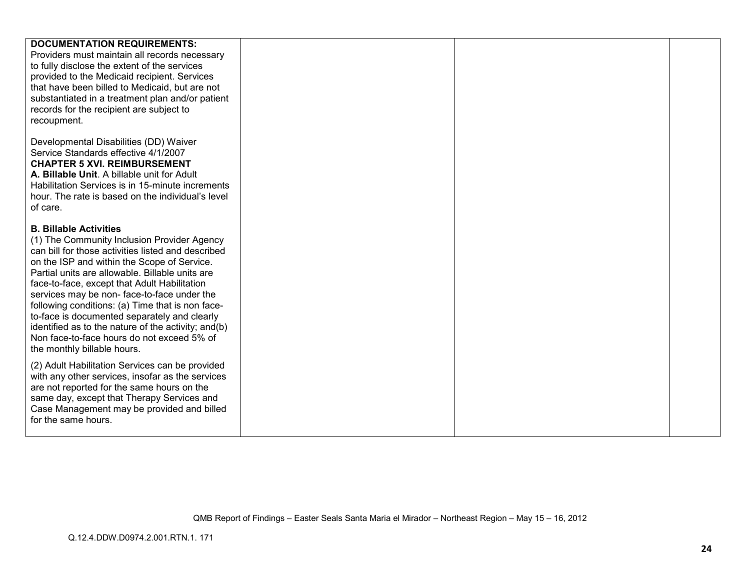| <b>DOCUMENTATION REQUIREMENTS:</b>                                          |  |  |
|-----------------------------------------------------------------------------|--|--|
|                                                                             |  |  |
| Providers must maintain all records necessary                               |  |  |
| to fully disclose the extent of the services                                |  |  |
| provided to the Medicaid recipient. Services                                |  |  |
| that have been billed to Medicaid, but are not                              |  |  |
| substantiated in a treatment plan and/or patient                            |  |  |
| records for the recipient are subject to                                    |  |  |
| recoupment.                                                                 |  |  |
|                                                                             |  |  |
| Developmental Disabilities (DD) Waiver                                      |  |  |
| Service Standards effective 4/1/2007<br><b>CHAPTER 5 XVI. REIMBURSEMENT</b> |  |  |
| A. Billable Unit. A billable unit for Adult                                 |  |  |
|                                                                             |  |  |
| Habilitation Services is in 15-minute increments                            |  |  |
| hour. The rate is based on the individual's level<br>of care.               |  |  |
|                                                                             |  |  |
| <b>B. Billable Activities</b>                                               |  |  |
| (1) The Community Inclusion Provider Agency                                 |  |  |
| can bill for those activities listed and described                          |  |  |
| on the ISP and within the Scope of Service.                                 |  |  |
| Partial units are allowable. Billable units are                             |  |  |
| face-to-face, except that Adult Habilitation                                |  |  |
| services may be non-face-to-face under the                                  |  |  |
| following conditions: (a) Time that is non face-                            |  |  |
| to-face is documented separately and clearly                                |  |  |
| identified as to the nature of the activity; and(b)                         |  |  |
| Non face-to-face hours do not exceed 5% of                                  |  |  |
| the monthly billable hours.                                                 |  |  |
|                                                                             |  |  |
| (2) Adult Habilitation Services can be provided                             |  |  |
| with any other services, insofar as the services                            |  |  |
| are not reported for the same hours on the                                  |  |  |
| same day, except that Therapy Services and                                  |  |  |
| Case Management may be provided and billed                                  |  |  |
| for the same hours.                                                         |  |  |
|                                                                             |  |  |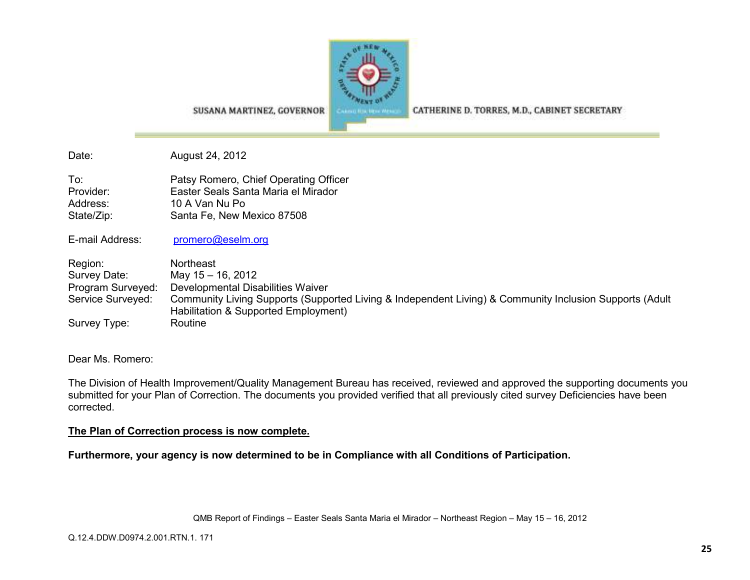

CATHERINE D. TORRES, M.D., CABINET SECRETARY

SUSANA MARTINEZ, GOVERNOR

Date: August 24, 2012

To: Patsy Romero, Chief Operating Officer Provider: Easter Seals Santa Maria el Mirador Address: 10 A Van Nu Po State/Zip: Santa Fe, New Mexico 87508

E-mail Address: promero@eselm.org

Region: Northeast Survey Date: May 15 – 16, 2012 Program Surveyed: Developmental Disabilities Waiver Service Surveyed: Community Living Supports (Supported Living & Independent Living) & Community Inclusion Supports (Adult Habilitation & Supported Employment) Survey Type: Routine

Dear Ms. Romero:

The Division of Health Improvement/Quality Management Bureau has received, reviewed and approved the supporting documents you submitted for your Plan of Correction. The documents you provided verified that all previously cited survey Deficiencies have been corrected.

## **The Plan of Correction process is now complete.**

**Furthermore, your agency is now determined to be in Compliance with all Conditions of Participation.**